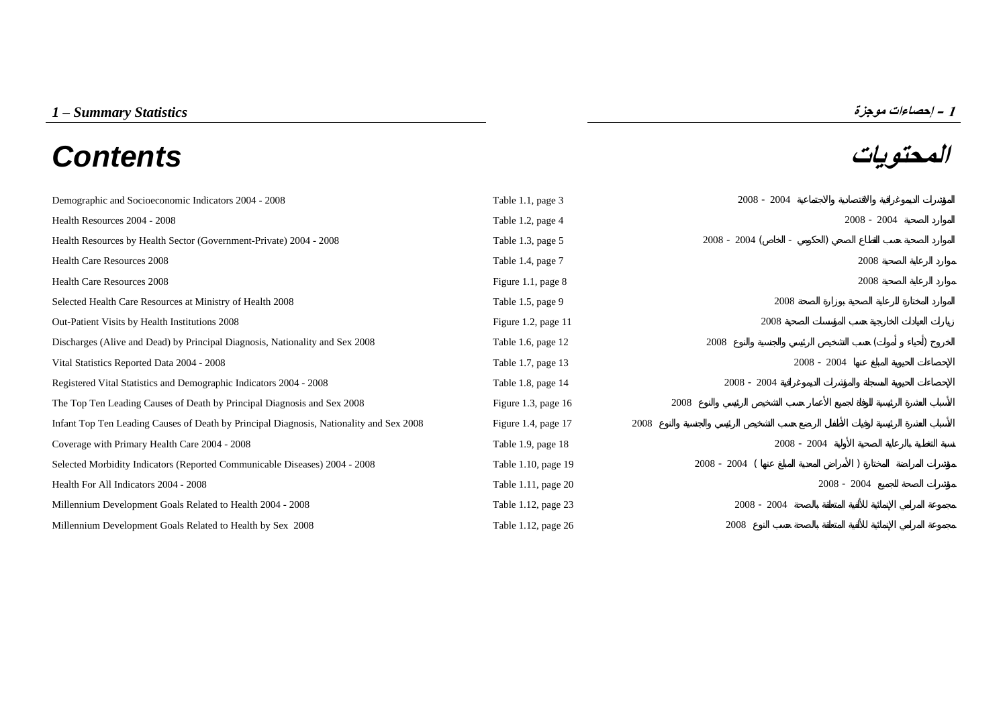## **المحتويات** *Contents*



| Demographic and Socioeconomic Indicators 2004 - 2008                                    | Table 1.1, page 3   | $2008 - 2004$                               |               |
|-----------------------------------------------------------------------------------------|---------------------|---------------------------------------------|---------------|
| Health Resources 2004 - 2008                                                            | Table 1.2, page 4   |                                             | $2008 - 2004$ |
| Health Resources by Health Sector (Government-Private) 2004 - 2008                      | Table 1.3, page 5   | $2008 - 2004$ (<br>$\overline{\phantom{a}}$ |               |
| Health Care Resources 2008                                                              | Table 1.4, page 7   |                                             | 2008          |
| <b>Health Care Resources 2008</b>                                                       | Figure 1.1, page 8  |                                             | 2008          |
| Selected Health Care Resources at Ministry of Health 2008                               | Table 1.5, page 9   | 2008                                        |               |
| Out-Patient Visits by Health Institutions 2008                                          | Figure 1.2, page 11 | 2008                                        |               |
| Discharges (Alive and Dead) by Principal Diagnosis, Nationality and Sex 2008            | Table 1.6, page 12  | 2008                                        |               |
| Vital Statistics Reported Data 2004 - 2008                                              | Table 1.7, page 13  |                                             | $2008 - 2004$ |
| Registered Vital Statistics and Demographic Indicators 2004 - 2008                      | Table 1.8, page 14  | $2008 - 2004$                               |               |
| The Top Ten Leading Causes of Death by Principal Diagnosis and Sex 2008                 | Figure 1.3, page 16 | 2008                                        |               |
| Infant Top Ten Leading Causes of Death by Principal Diagnosis, Nationality and Sex 2008 | Figure 1.4, page 17 | 2008                                        |               |
| Coverage with Primary Health Care 2004 - 2008                                           | Table 1.9, page 18  | $2008 - 2004$                               |               |
| Selected Morbidity Indicators (Reported Communicable Diseases) 2004 - 2008              | Table 1.10, page 19 | $2008 - 2004$ (                             |               |
| Health For All Indicators 2004 - 2008                                                   | Table 1.11, page 20 |                                             | $2008 - 2004$ |
| Millennium Development Goals Related to Health 2004 - 2008                              | Table 1.12, page 23 | $2008 - 2004$                               |               |
| Millennium Development Goals Related to Health by Sex 2008                              | Table 1.12, page 26 | 2008                                        |               |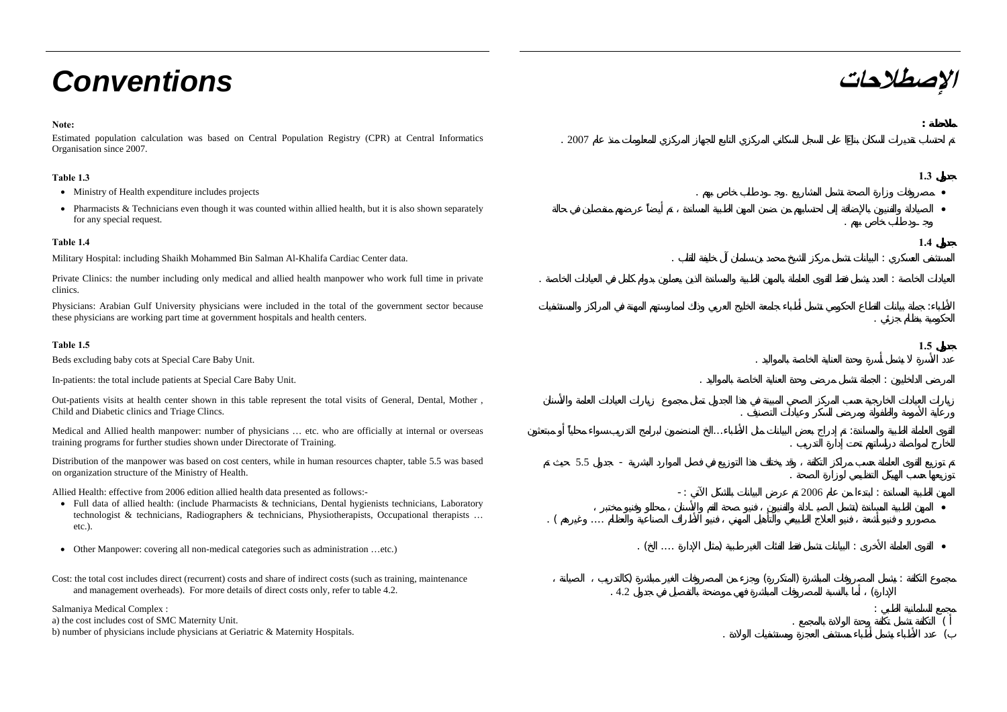# **الإصطلاحات** *Conventions*

#### **Note:**

Estimated population calculation was based on Central Population Registry (CPR) at Central Informatics Organisation since 2007.

. 2007

5.5 -

 $\lbrack$   $\lbrack$ 

:

-:

. (  $\ldots$  )

... :.

) and a set of the set of  $($  and  $)$  is the set of  $($   $)$  is the set of  $($   $)$  is the set of  $($   $)$  is the set of  $($   $)$  is the set of  $($   $)$  is the set of  $($   $)$  is the set of  $($   $)$  is the set of  $($   $)$  is the

.  $4.2$  (

2006

.

#### **Table 1.3 1.3**

- Ministry of Health expenditure includes projects . . •
- Pharmacists & Technicians even though it was counted within allied health, but it is also shown separately for any special request.

#### **Table 1.4 1.4**

Military Hospital: including Shaikh Mohammed Bin Salman Al-Khalifa Cardiac Center data. . :

Private Clinics: the number including only medical and allied health manpower who work full time in private clinics.

Physicians: Arabian Gulf University physicians were included in the total of the government sector because these physicians are working part time at government hospitals and health centers.

#### **Table 1.5 1.5**

Beds excluding baby cots at Special Care Baby Unit. .

In-patients: the total include patients at Special Care Baby Unit.

Out-patients visits at health center shown in this table represent the total visits of General, Dental, Mother , Child and Diabetic clinics and Triage Clincs. .

Medical and Allied health manpower: number of physicians … etc. who are officially at internal or overseas training programs for further studies shown under Directorate of Training.

Distribution of the manpower was based on cost centers, while in human resources chapter, table 5.5 was based on organization structure of the Ministry of Health.

Allied Health: effective from 2006 edition allied health data presented as follows:-

- Full data of allied health: (include Pharmacists & technicians, Dental hygienists technicians, Laboratory technologist & technicians, Radiographers & technicians, Physiotherapists, Occupational therapists … etc.).
- Other Manpower: covering all non-medical categories such as administration ...etc.)
- Cost: the total cost includes direct (recurrent) costs and share of indirect costs (such as training, maintenance and management overheads). For more details of direct costs only, refer to table 4.2.

Salmaniya Medical Complex :

a) the cost includes cost of SMC Maternity Unit. b) number of physicians include physicians at Geriatric & Maternity Hospitals.

**:**

•

:

) •

: $\overline{a}$  (

. The contract of the contract of  $\left($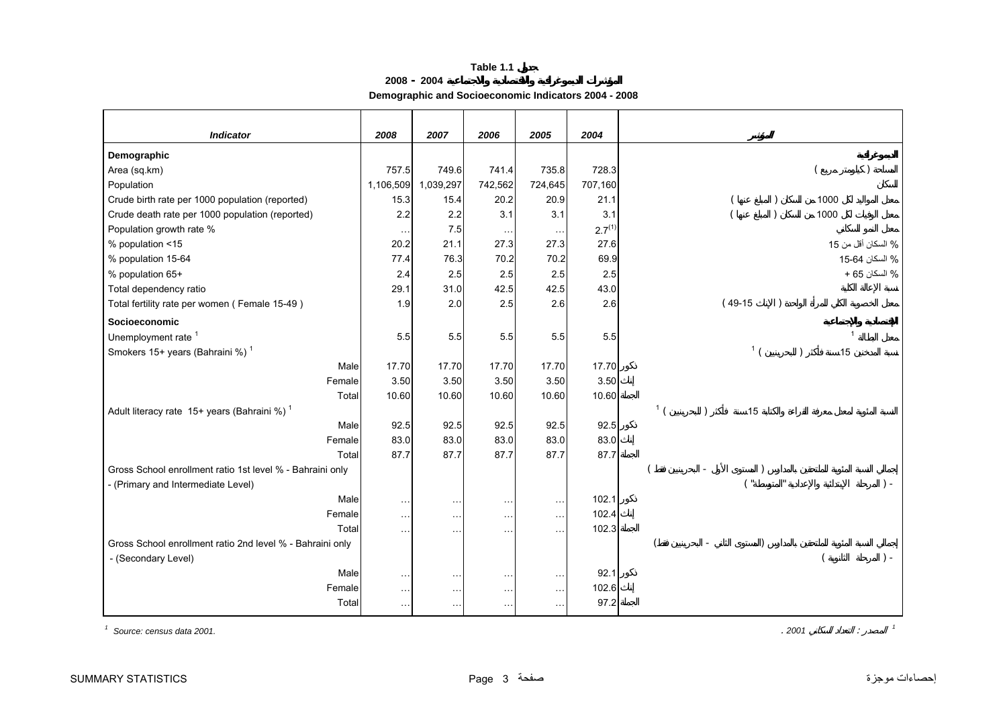**2008 - 2004**

**Demographic and Socioeconomic Indicators 2004 - 2008**

<span id="page-2-0"></span>

| <b>Indicator</b>                                          | 2008                 | 2007                 | 2006          | 2005          | 2004               |                |           |           |                |                    |
|-----------------------------------------------------------|----------------------|----------------------|---------------|---------------|--------------------|----------------|-----------|-----------|----------------|--------------------|
| Demographic                                               |                      |                      |               |               |                    |                |           |           |                |                    |
| Area (sq.km)                                              | 757.5                | 749.6                | 741.4         | 735.8         | 728.3              |                |           |           |                |                    |
| Population                                                | 1,106,509            | 1,039,297            | 742,562       | 724,645       | 707,160            |                |           |           |                |                    |
| Crude birth rate per 1000 population (reported)           | 15.3                 | 15.4                 | 20.2          | 20.9          | 21.1               |                |           |           | 1000           |                    |
| Crude death rate per 1000 population (reported)           | 2.2                  | 2.2                  | 3.1           | 3.1           | 3.1                |                |           | $\lambda$ | 1000           |                    |
| Population growth rate %                                  | $\sim$ $\sim$ $\sim$ | 7.5                  | $\cdots$      | $\sim$ $\sim$ | 2.7 <sup>(1)</sup> |                |           |           |                |                    |
| % population <15                                          | 20.2                 | 21.1                 | 27.3          | 27.3          | 27.6               |                |           |           |                | % السكان أقل من 15 |
| % population 15-64                                        | 77.4                 | 76.3                 | 70.2          | 70.2          | 69.9               |                |           |           |                | % السكان 64-15     |
| % population 65+                                          | 2.4                  | 2.5                  | 2.5           | 2.5           | 2.5                |                |           |           |                | % السكان 65 +      |
| Total dependency ratio                                    | 29.1                 | 31.0                 | 42.5          | 42.5          | 43.0               |                |           |           |                |                    |
| Total fertility rate per women (Female 15-49)             | 1.9                  | 2.0                  | 2.5           | 2.6           | 2.6                |                | $(49-15)$ |           |                |                    |
| Socioeconomic                                             |                      |                      |               |               |                    |                |           |           |                |                    |
| Unemployment rate <sup>1</sup>                            | 5.5                  | 5.5                  | 5.5           | 5.5           | 5.5                |                |           |           | $\overline{1}$ |                    |
| Smokers 15+ years (Bahraini %) <sup>1</sup>               |                      |                      |               |               |                    |                | 1/        |           | 15             |                    |
| Male                                                      | 17.70                | 17.70                | 17.70         | 17.70         | 17.70              |                |           |           |                |                    |
| Female                                                    | 3.50                 | 3.50                 | 3.50          | 3.50          | 3.50               |                |           |           |                |                    |
| Total                                                     | 10.60                | 10.60                | 10.60         | 10.60         | 10.60              |                |           |           |                |                    |
| Adult literacy rate 15+ years (Bahraini %) <sup>1</sup>   |                      |                      |               |               |                    | 1 <sup>1</sup> | 15        |           |                |                    |
| Male                                                      | 92.5                 | 92.5                 | 92.5          | 92.5          | 92.5               |                |           |           |                |                    |
| Female                                                    | 83.0                 | 83.0                 | 83.0          | 83.0          | 83.0               |                |           |           |                |                    |
| Total                                                     | 87.7                 | 87.7                 | 87.7          | 87.7          | 87.7               |                |           |           |                |                    |
| Gross School enrollment ratio 1st level % - Bahraini only |                      |                      |               |               |                    |                |           |           |                |                    |
| - (Primary and Intermediate Level)                        |                      |                      |               |               |                    |                |           |           |                | $\vert$ -          |
| Male                                                      | $\sim$ $\sim$        | $\sim$ $\sim$        | $\ddotsc$     | $\cdots$      | 102.1              |                |           |           |                |                    |
| Female                                                    | $\ldots$             | $\sim$ $\sim$        | $\sim$ $\sim$ | $\sim$ $\sim$ | 102.4              |                |           |           |                |                    |
| Total                                                     | $\ddotsc$            | $\sim$ $\sim$ $\sim$ | $\cdots$      | $\ddotsc$     | 102.3              |                |           |           |                |                    |
| Gross School enrollment ratio 2nd level % - Bahraini only |                      |                      |               |               |                    |                |           |           |                |                    |
| - (Secondary Level)                                       |                      |                      |               |               |                    |                |           |           |                | $\vert$ -          |
| Male                                                      | $\ddotsc$            | $\sim$ $\sim$        |               | $\sim$ $\sim$ | 92.1               |                |           |           |                |                    |
| Female                                                    | $\ldots$             | $\sim$ $\sim$        | $\ddotsc$     | $\sim$ $\sim$ | 102.6              |                |           |           |                |                    |
| Total                                                     | $\ddotsc$            | $\sim$ $\sim$ $\sim$ | $\sim$ $\sim$ | $\sim$        | 97.2               |                |           |           |                |                    |

*1 Source: census data 2001.*

. *2001* : *<sup>1</sup>*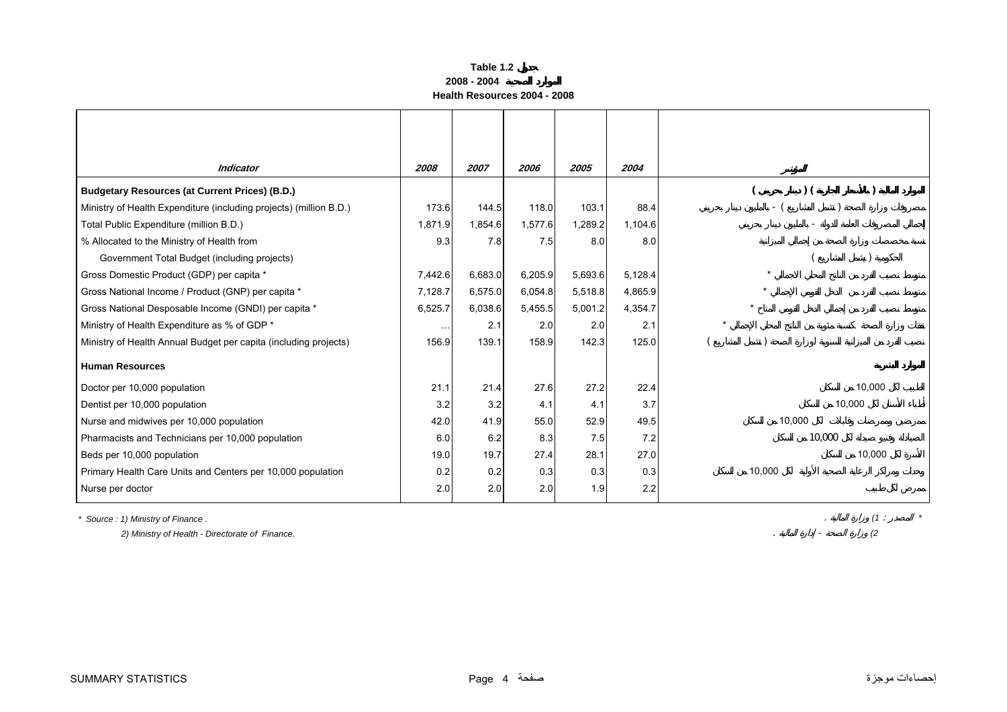#### **Table 1.2 2008 - 2004Health Resources 2004 - 2008**

<span id="page-3-0"></span>

| <b>Indicator</b>                                                   | 2008                 | 2007    | 2006    | 2005    | 2004    |        |
|--------------------------------------------------------------------|----------------------|---------|---------|---------|---------|--------|
| <b>Budgetary Resources (at Current Prices) (B.D.)</b>              |                      |         |         |         |         | $)$ (  |
| Ministry of Health Expenditure (including projects) (million B.D.) | 173.6                | 144.5   | 118.0   | 103.1   | 88.4    | - (    |
| Total Public Expenditure (million B.D.)                            | 1,871.9              | 1,854.6 | 1,577.6 | 1,289.2 | 1,104.6 |        |
| % Allocated to the Ministry of Health from                         | 9.3                  | 7.8     | 7.5     | 8.0     | 8.0     |        |
| Government Total Budget (including projects)                       |                      |         |         |         |         |        |
| Gross Domestic Product (GDP) per capita *                          | 7,442.6              | 6,683.0 | 6,205.9 | 5,693.6 | 5,128.4 |        |
| Gross National Income / Product (GNP) per capita *                 | 7,128.7              | 6,575.0 | 6,054.8 | 5,518.8 | 4,865.9 |        |
| Gross National Desposable Income (GNDI) per capita *               | 6,525.7              | 6,038.6 | 5,455.5 | 5,001.2 | 4,354.7 |        |
| Ministry of Health Expenditure as % of GDP *                       | $\sim$ $\sim$ $\sim$ | 2.1     | 2.0     | 2.0     | 2.1     |        |
| Ministry of Health Annual Budget per capita (including projects)   | 156.9                | 139.1   | 158.9   | 142.3   | 125.0   |        |
| <b>Human Resources</b>                                             |                      |         |         |         |         |        |
| Doctor per 10,000 population                                       | 21.1                 | 21.4    | 27.6    | 27.2    | 22.4    | 10,000 |
| Dentist per 10,000 population                                      | 3.2                  | 3.2     | 4.1     | 4.1     | 3.7     | 10,000 |
| Nurse and midwives per 10,000 population                           | 42.0                 | 41.9    | 55.0    | 52.9    | 49.5    | 10,000 |
| Pharmacists and Technicians per 10,000 population                  | 6.0                  | 6.2     | 8.3     | 7.5     | 7.2     | 10,000 |
| Beds per 10,000 population                                         | 19.0                 | 19.7    | 27.4    | 28.1    | 27.0    | 10,000 |
| Primary Health Care Units and Centers per 10,000 population        | 0.2                  | 0.2     | 0.3     | 0.3     | 0.3     | 10,000 |
| Nurse per doctor                                                   | 2.0                  | 2.0     | 2.0     | 1.9     | 2.2     |        |

*\* Source : 1) Ministry of Finance .* . *(1* : *\**

 *2) Ministry of Health - Directorate of Finance.* . - *(2*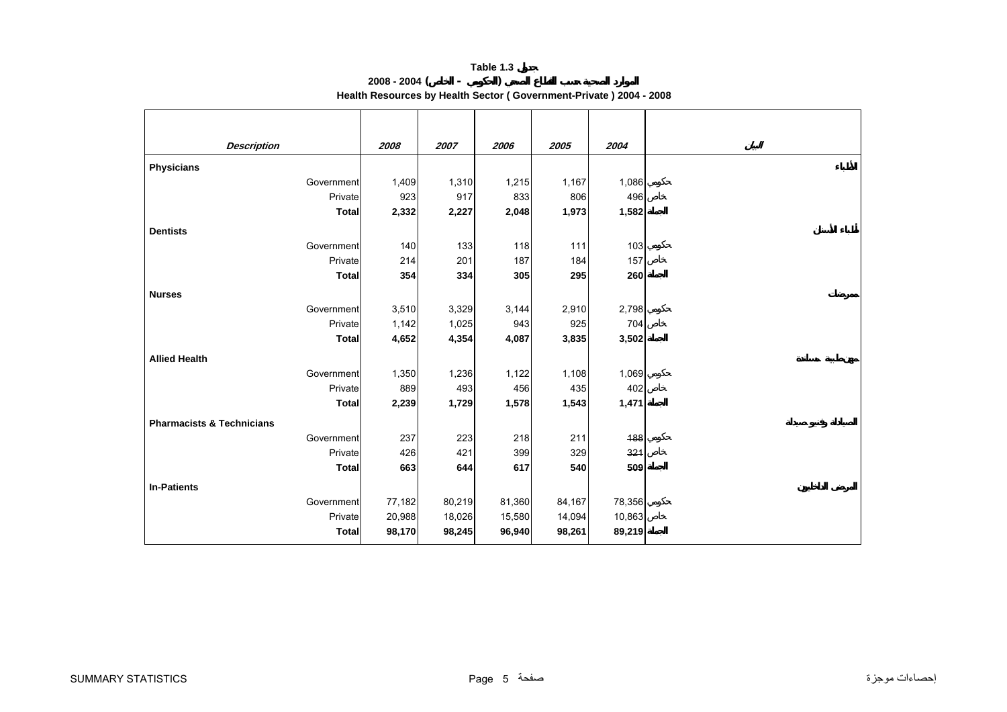### **Table 1.3 2008 - 2004 ( - )**

**Health Resources by Health Sector ( Government-Private ) 2004 - 2008**

<span id="page-4-0"></span>

| <b>Description</b>                   | 2008   | 2007   | 2006   | 2005   | 2004   |
|--------------------------------------|--------|--------|--------|--------|--------|
| <b>Physicians</b>                    |        |        |        |        |        |
| Government                           | 1,409  | 1,310  | 1,215  | 1,167  | 1,086  |
| Private                              | 923    | 917    | 833    | 806    | 496    |
| <b>Total</b>                         | 2,332  | 2,227  | 2,048  | 1,973  | 1,582  |
| <b>Dentists</b>                      |        |        |        |        |        |
| Government                           | 140    | 133    | 118    | 111    | 103    |
| Private                              | 214    | 201    | 187    | 184    | 157    |
| <b>Total</b>                         | 354    | 334    | 305    | 295    | 260    |
| <b>Nurses</b>                        |        |        |        |        |        |
| Government                           | 3,510  | 3,329  | 3,144  | 2,910  | 2,798  |
| Private                              | 1,142  | 1,025  | 943    | 925    | 704    |
| <b>Total</b>                         | 4,652  | 4,354  | 4,087  | 3,835  | 3,502  |
| <b>Allied Health</b>                 |        |        |        |        |        |
| Government                           | 1,350  | 1,236  | 1,122  | 1,108  | 1,069  |
| Private                              | 889    | 493    | 456    | 435    | 402    |
| <b>Total</b>                         | 2,239  | 1,729  | 1,578  | 1,543  | 1,471  |
| <b>Pharmacists &amp; Technicians</b> |        |        |        |        |        |
| Government                           | 237    | 223    | 218    | 211    | 188    |
| Private                              | 426    | 421    | 399    | 329    | 321    |
| <b>Total</b>                         | 663    | 644    | 617    | 540    | 509    |
|                                      |        |        |        |        |        |
| <b>In-Patients</b>                   |        |        |        |        |        |
| Government                           | 77,182 | 80,219 | 81,360 | 84,167 | 78,356 |
| Private                              | 20,988 | 18,026 | 15,580 | 14,094 | 10,863 |
| <b>Total</b>                         | 98,170 | 98,245 | 96,940 | 98,261 | 89,219 |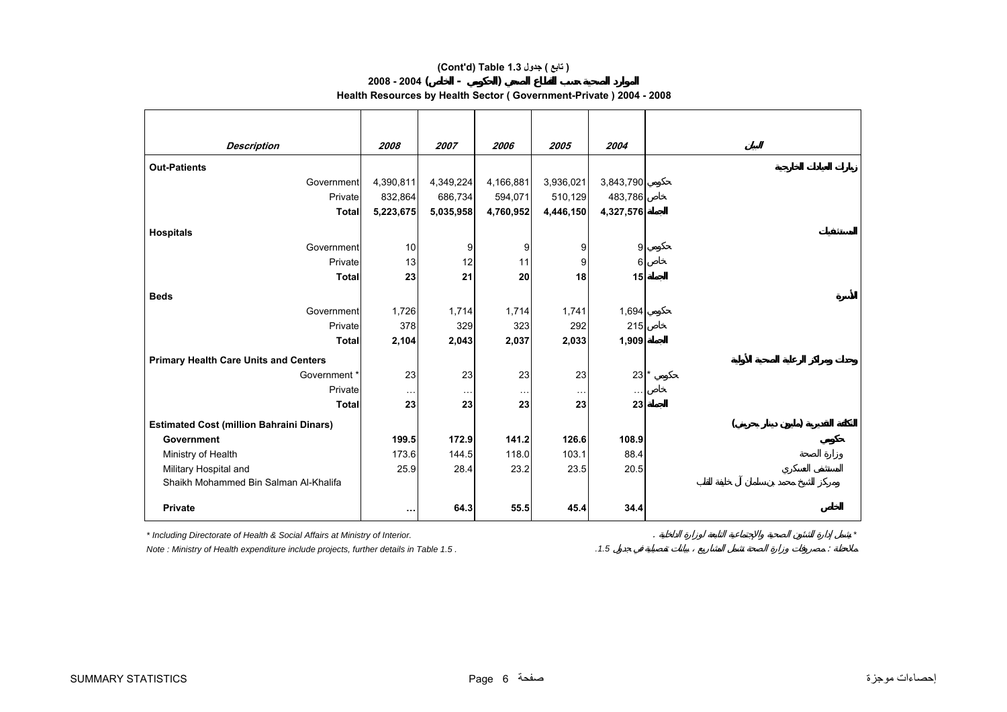## **(Cont'd) Table 1.3 جدول ) تابع(**

**2008 - 2004( - )** 

**Health Resources by Health Sector ( Government-Private ) 2004 - 2008**

| <b>Description</b>                              | 2008      | 2007      | 2006      | 2005      | 2004      |  |
|-------------------------------------------------|-----------|-----------|-----------|-----------|-----------|--|
| <b>Out-Patients</b>                             |           |           |           |           |           |  |
| Government                                      | 4,390,811 | 4,349,224 | 4,166,881 | 3,936,021 | 3,843,790 |  |
| Private                                         | 832,864   | 686,734   | 594,071   | 510,129   | 483,786   |  |
| <b>Total</b>                                    | 5,223,675 | 5,035,958 | 4,760,952 | 4,446,150 | 4,327,576 |  |
| <b>Hospitals</b>                                |           |           |           |           |           |  |
| Government                                      | 10        | 9         | 9         | 9         | 9         |  |
| Private                                         | 13        | 12        | 11        | 9         | 6         |  |
| <b>Total</b>                                    | 23        | 21        | 20        | 18        | 15        |  |
| <b>Beds</b>                                     |           |           |           |           |           |  |
| Government                                      | 1,726     | 1,714     | 1,714     | 1,741     | 1,694     |  |
| Private                                         | 378       | 329       | 323       | 292       | 215       |  |
| <b>Total</b>                                    | 2,104     | 2,043     | 2,037     | 2,033     | 1,909     |  |
| <b>Primary Health Care Units and Centers</b>    |           |           |           |           |           |  |
| Government *                                    | 23        | 23        | 23        | 23        | 23        |  |
| Private                                         | $\cdots$  | $\ddotsc$ | $\cdots$  | $\ddotsc$ | $\cdots$  |  |
| <b>Total</b>                                    | 23        | 23        | 23        | 23        | 23        |  |
| <b>Estimated Cost (million Bahraini Dinars)</b> |           |           |           |           |           |  |
| <b>Government</b>                               | 199.5     | 172.9     | 141.2     | 126.6     | 108.9     |  |
| Ministry of Health                              | 173.6     | 144.5     | 118.0     | 103.1     | 88.4      |  |
| Military Hospital and                           | 25.9      | 28.4      | 23.2      | 23.5      | 20.5      |  |
| Shaikh Mohammed Bin Salman Al-Khalifa           |           |           |           |           |           |  |
| <b>Private</b>                                  | $\cdots$  | 64.3      | 55.5      | 45.4      | 34.4      |  |

*\* Including Directorate of Health & Social Affairs at Ministry of Interior.* . *\**

*Note : Ministry of Health expenditure include projects, further details in Table 1.5 . .1.5* :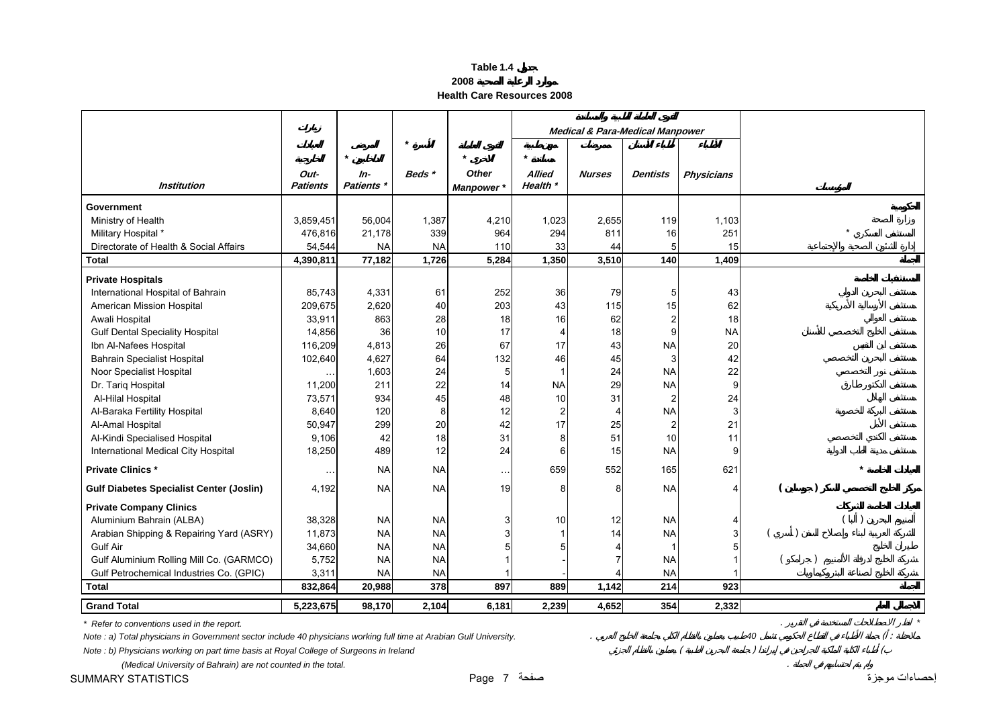| able |  |
|------|--|
|------|--|

**2008**

**Health Care Resources 2008**

<span id="page-6-0"></span>

|                                                 |                         |                            |           |                            | <b>Medical &amp; Para-Medical Manpower</b> |               |                 |                   |  |
|-------------------------------------------------|-------------------------|----------------------------|-----------|----------------------------|--------------------------------------------|---------------|-----------------|-------------------|--|
|                                                 |                         | $\star$                    |           | $\star$                    | $\star$                                    |               |                 |                   |  |
| <b>Institution</b>                              | Out-<br><b>Patients</b> | $In-$<br><b>Patients</b> * | Beds*     | Other<br><b>Manpower</b> * | <b>Allied</b><br>Health *                  | <b>Nurses</b> | <b>Dentists</b> | <b>Physicians</b> |  |
| Government                                      |                         |                            |           |                            |                                            |               |                 |                   |  |
| Ministry of Health                              | 3,859,451               | 56,004                     | 1,387     | 4,210                      | 1,023                                      | 2,655         | 119             | 1,103             |  |
| Military Hospital *                             | 476,816                 | 21,178                     | 339       | 964                        | 294                                        | 811           | 16              | 251               |  |
| Directorate of Health & Social Affairs          | 54,544                  | <b>NA</b>                  | <b>NA</b> | 110                        | 33                                         | 44            | 5               | 15                |  |
| <b>Total</b>                                    | 4,390,811               | 77,182                     | 1,726     | 5,284                      | 1,350                                      | 3,510         | 140             | 1,409             |  |
| <b>Private Hospitals</b>                        |                         |                            |           |                            |                                            |               |                 |                   |  |
| International Hospital of Bahrain               | 85,743                  | 4,331                      | 61        | 252                        | 36                                         | 79            | $\overline{5}$  | 43                |  |
| American Mission Hospital                       | 209,675                 | 2,620                      | 40        | 203                        | 43                                         | 115           | 15              | 62                |  |
| Awali Hospital                                  | 33,911                  | 863                        | 28        | 18                         | 16                                         | 62            | $\overline{c}$  | 18                |  |
| <b>Gulf Dental Speciality Hospital</b>          | 14,856                  | 36                         | 10        | 17                         | $\overline{4}$                             | 18            | 9               | <b>NA</b>         |  |
| Ibn Al-Nafees Hospital                          | 116,209                 | 4,813                      | 26        | 67                         | 17                                         | 43            | <b>NA</b>       | 20                |  |
| <b>Bahrain Specialist Hospital</b>              | 102,640                 | 4,627                      | 64        | 132                        | 46                                         | 45            | 3               | 42                |  |
| Noor Specialist Hospital                        |                         | 1,603                      | 24        | 5                          |                                            | 24            | <b>NA</b>       | 22                |  |
| Dr. Tariq Hospital                              | 11,200                  | 211                        | 22        | 14                         | <b>NA</b>                                  | 29            | <b>NA</b>       | 9                 |  |
| Al-Hilal Hospital                               | 73,571                  | 934                        | 45        | 48                         | 10                                         | 31            | $\overline{2}$  | 24                |  |
| Al-Baraka Fertility Hospital                    | 8,640                   | 120                        | 8         | 12                         | $\overline{2}$                             | 4             | <b>NA</b>       | 3                 |  |
| Al-Amal Hospital                                | 50,947                  | 299                        | 20        | 42                         | 17                                         | 25            | $\overline{2}$  | 21                |  |
| Al-Kindi Specialised Hospital                   | 9,106                   | 42                         | 18        | 31                         | 8                                          | 51            | 10              | 11                |  |
| International Medical City Hospital             | 18,250                  | 489                        | 12        | 24                         | 6                                          | 15            | <b>NA</b>       | 9                 |  |
| <b>Private Clinics*</b>                         | $\ddot{\phantom{1}}$    | <b>NA</b>                  | <b>NA</b> | $\ddotsc$                  | 659                                        | 552           | 165             | 621               |  |
| <b>Gulf Diabetes Specialist Center (Joslin)</b> | 4,192                   | <b>NA</b>                  | <b>NA</b> | 19                         | 8                                          | 8             | <b>NA</b>       | 4                 |  |
| <b>Private Company Clinics</b>                  |                         |                            |           |                            |                                            |               |                 |                   |  |
| Aluminium Bahrain (ALBA)                        | 38,328                  | <b>NA</b>                  | <b>NA</b> |                            | 10                                         | 12            | <b>NA</b>       |                   |  |
| Arabian Shipping & Repairing Yard (ASRY)        | 11,873                  | <b>NA</b>                  | <b>NA</b> |                            |                                            | 14            | <b>NA</b>       | 3                 |  |
| <b>Gulf Air</b>                                 | 34,660                  | <b>NA</b>                  | <b>NA</b> |                            | 5                                          |               |                 |                   |  |
| Gulf Aluminium Rolling Mill Co. (GARMCO)        | 5,752                   | <b>NA</b>                  | <b>NA</b> |                            |                                            |               | <b>NA</b>       |                   |  |
| Gulf Petrochemical Industries Co. (GPIC)        | 3,311                   | <b>NA</b>                  | <b>NA</b> |                            |                                            |               | <b>NA</b>       |                   |  |
| <b>Total</b>                                    | 832,864                 | 20,988                     | 378       | 897                        | 889<br>1,142                               |               | 214             | 923               |  |
| <b>Grand Total</b>                              | 5,223,675               | 98,170                     | 2,104     | 6,181                      | 2,239                                      | 4,652         | 354             | 2,332             |  |

*\* Refer to conventions used in the report.* . *\**

*Note : a) Total physicians in Government sector include 40 physicians working full time at Arabian Gulf University.* . *<sup>40</sup>* ( :

*Note : b) Physicians working on part time basis at Royal College of Surgeons in Ireland* ( ) (

 *(Medical University of Bahrain) are not counted in the total.* . إحصاءات موجزة صفحة 7 Page STATISTICS SUMMARY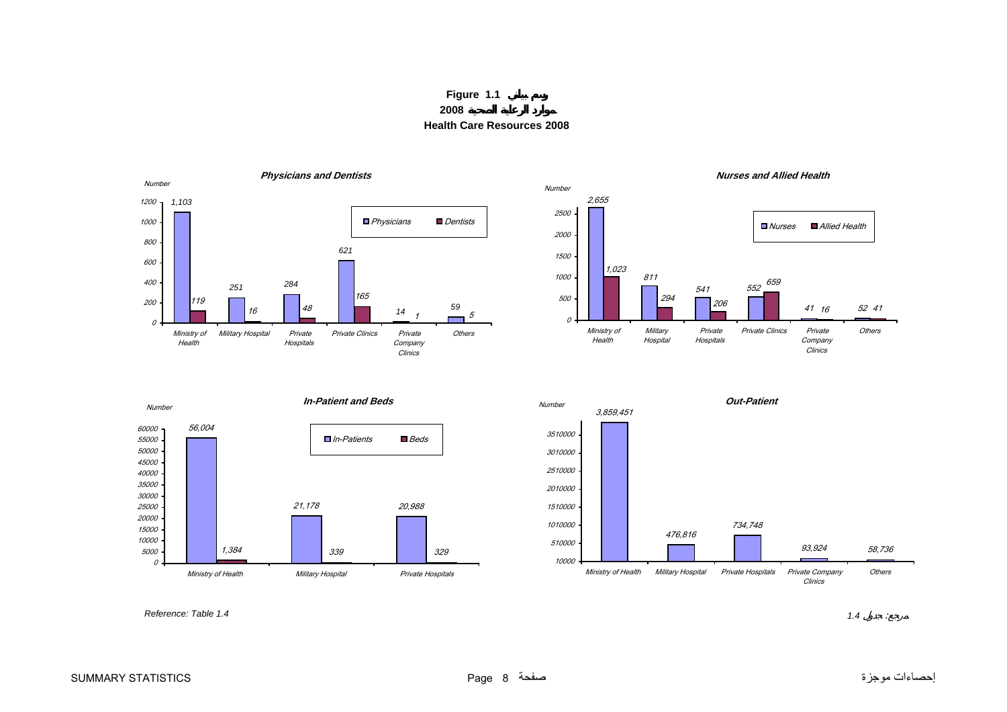**Figure 1.1 2008Health Care Resources 2008**

<span id="page-7-0"></span>





*Reference: Table 1.4*

*1.4* :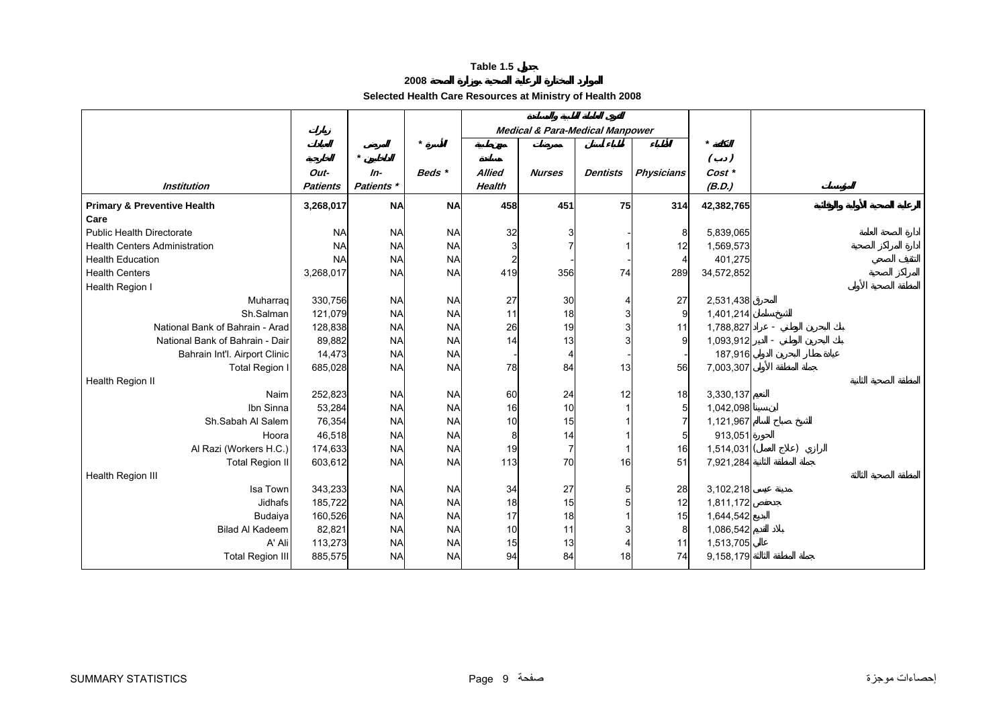## **2008**

## **Selected Health Care Resources at Ministry of Health 2008**

<span id="page-8-0"></span>

|                                        |                 |            |           |               | <b>Medical &amp; Para-Medical Manpower</b> |                 |                   |                   |  |
|----------------------------------------|-----------------|------------|-----------|---------------|--------------------------------------------|-----------------|-------------------|-------------------|--|
|                                        |                 | $\star$    | $\star$   |               |                                            |                 |                   | $\star$<br>$($ .) |  |
|                                        | Out-            | $In-$      | Beds *    | <b>Allied</b> | <b>Nurses</b>                              | <b>Dentists</b> | <b>Physicians</b> | Cost *            |  |
| <b>Institution</b>                     | <b>Patients</b> | Patients * |           | <b>Health</b> |                                            |                 |                   | (B.D.)            |  |
| <b>Primary &amp; Preventive Health</b> | 3,268,017       | <b>NA</b>  | <b>NA</b> | 458           | 451                                        | 75              | 314               | 42,382,765        |  |
| Care                                   |                 |            |           |               |                                            |                 |                   |                   |  |
| <b>Public Health Directorate</b>       | <b>NA</b>       | <b>NA</b>  | <b>NA</b> | 32            |                                            |                 |                   | 5,839,065         |  |
| <b>Health Centers Administration</b>   | <b>NA</b>       | <b>NA</b>  | <b>NA</b> |               |                                            |                 | 12                | 1,569,573         |  |
| <b>Health Education</b>                | <b>NA</b>       | <b>NA</b>  | <b>NA</b> |               |                                            |                 |                   | 401,275           |  |
| <b>Health Centers</b>                  | 3,268,017       | <b>NA</b>  | <b>NA</b> | 419           | 356                                        | 74              | 289               | 34,572,852        |  |
| Health Region I                        |                 |            |           |               |                                            |                 |                   |                   |  |
| Muharrag                               | 330,756         | <b>NA</b>  | <b>NA</b> | 27            | 30                                         |                 | 27                | 2,531,438         |  |
| Sh.Salman                              | 121,079         | <b>NA</b>  | <b>NA</b> | 11            | 18                                         |                 | 9                 | 1,401,214         |  |
| National Bank of Bahrain - Arad        | 128,838         | <b>NA</b>  | <b>NA</b> | 26            | 19                                         |                 | 11                | 1,788,827         |  |
| National Bank of Bahrain - Dair        | 89,882          | <b>NA</b>  | <b>NA</b> | 14            | 13                                         |                 |                   | 1,093,912         |  |
| Bahrain Int'l. Airport Clinic          | 14,473          | <b>NA</b>  | <b>NA</b> |               |                                            |                 |                   | 187,916           |  |
| Total Region I                         | 685,028         | <b>NA</b>  | <b>NA</b> | 78            | 84                                         | 13              | 56                | 7,003,307         |  |
| Health Region II                       |                 |            |           |               |                                            |                 |                   |                   |  |
| Naim                                   | 252,823         | <b>NA</b>  | <b>NA</b> | 60            | 24                                         | 12              | 18                | 3,330,137         |  |
| Ibn Sinna                              | 53,284          | <b>NA</b>  | <b>NA</b> | 16            | 10                                         |                 |                   | 1,042,098         |  |
| Sh.Sabah Al Salem                      | 76,354          | <b>NA</b>  | <b>NA</b> | 10            | 15                                         |                 |                   | 1,121,967         |  |
| Hoora                                  | 46,518          | <b>NA</b>  | <b>NA</b> | 8             | 14                                         |                 |                   | 913,051           |  |
| Al Razi (Workers H.C.)                 | 174,633         | <b>NA</b>  | <b>NA</b> | 19            | 7                                          |                 | 16                | 1,514,031         |  |
| <b>Total Region II</b>                 | 603,612         | <b>NA</b>  | <b>NA</b> | 113           | 70                                         | 16              | 51                | 7,921,284         |  |
| Health Region III                      |                 |            |           |               |                                            |                 |                   |                   |  |
| Isa Town                               | 343,233         | <b>NA</b>  | <b>NA</b> | 34            | 27                                         |                 | 28                | 3,102,218         |  |
| Jidhafs                                | 185,722         | <b>NA</b>  | <b>NA</b> | 18            | 15                                         |                 | 12                | 1,811,172         |  |
| Budaiya                                | 160,526         | <b>NA</b>  | <b>NA</b> | 17            | 18                                         |                 | 15                | 1,644,542         |  |
| Bilad Al Kadeem                        | 82,821          | <b>NA</b>  | <b>NA</b> | 10            | 11                                         |                 | 8                 | 1,086,542         |  |
| A' Ali                                 | 113,273         | <b>NA</b>  | <b>NA</b> | 15            | 13                                         |                 | 11                | 1,513,705         |  |
| <b>Total Region III</b>                | 885,575         | <b>NA</b>  | <b>NA</b> | 94            | 84                                         | 18              | 74                | 9,158,179         |  |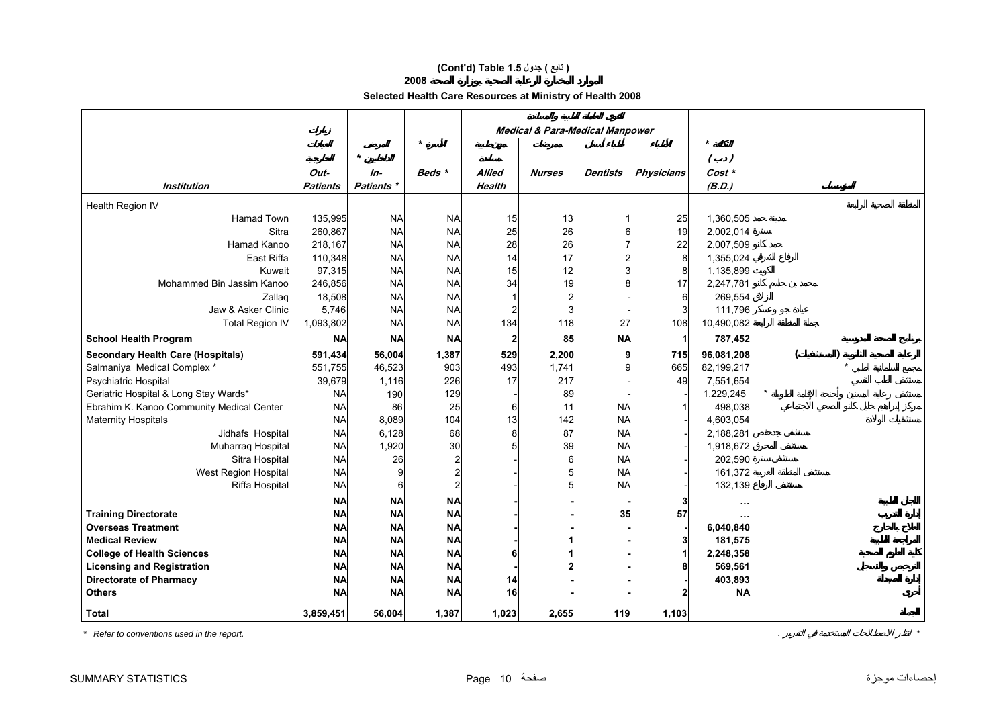## **(Cont'd) Table 1.5 جدول ) تابع(**

## **2008**

## **Selected Health Care Resources at Ministry of Health 2008**

|                                           |                                                             |              |           |               | <b>Medical &amp; Para-Medical Manpower</b> |                 |                   |             |  |  |
|-------------------------------------------|-------------------------------------------------------------|--------------|-----------|---------------|--------------------------------------------|-----------------|-------------------|-------------|--|--|
|                                           |                                                             | $\pmb{\ast}$ |           |               |                                            |                 |                   |             |  |  |
|                                           |                                                             |              | Beds *    |               |                                            |                 |                   | $( \cdot )$ |  |  |
|                                           | Out-                                                        | $In-$        |           | <b>Allied</b> | <b>Nurses</b>                              | <b>Dentists</b> | <b>Physicians</b> | Cost *      |  |  |
| <b>Institution</b>                        | <b>Patients</b>                                             | Patients *   |           | <b>Health</b> |                                            |                 |                   | (B.D.)      |  |  |
| Health Region IV                          |                                                             |              |           |               |                                            |                 |                   |             |  |  |
| <b>Hamad Town</b>                         | 135,995                                                     | <b>NA</b>    | <b>NA</b> | 15            | 13                                         |                 | 25                | 1,360,505   |  |  |
| Sitra                                     | 260,867                                                     | <b>NA</b>    | <b>NA</b> | 25            | 26                                         |                 | 19                | 2,002,014   |  |  |
| Hamad Kanoo                               | 218,167                                                     | <b>NA</b>    | <b>NA</b> | 28            | 26                                         |                 | 22                | 2,007,509   |  |  |
| East Riffa                                | 110,348                                                     | <b>NA</b>    | <b>NA</b> | 14            | 17                                         |                 | 8                 | 1,355,024   |  |  |
| Kuwait                                    | 97,315                                                      | <b>NA</b>    | <b>NA</b> | 15            | 12                                         |                 | 8                 | 1,135,899   |  |  |
| Mohammed Bin Jassim Kanoo                 | 246,856                                                     | <b>NA</b>    | <b>NA</b> | 34            | 19                                         |                 | 17                | 2,247,781   |  |  |
| Zallag                                    | 18,508                                                      | <b>NA</b>    | <b>NA</b> |               |                                            |                 |                   | 269,554     |  |  |
| Jaw & Asker Clinic                        | 5,746                                                       | <b>NA</b>    | <b>NA</b> |               |                                            |                 |                   | 111,796     |  |  |
| <b>Total Region IV</b>                    | 1,093,802                                                   | <b>NA</b>    | <b>NA</b> | 134           | 118                                        | 27              | 108               | 10,490,082  |  |  |
| <b>School Health Program</b>              | <b>NA</b><br><b>NA</b><br><b>NA</b><br>85<br><b>NA</b><br>2 |              |           |               |                                            |                 | 787,452           |             |  |  |
| <b>Secondary Health Care (Hospitals)</b>  | 591,434                                                     | 56,004       | 1,387     | 529           | 2,200                                      |                 | 715               | 96,081,208  |  |  |
| Salmaniya Medical Complex *               | 551,755                                                     | 46,523       | 903       | 493           | 1,741                                      |                 | 665               | 82,199,217  |  |  |
| Psychiatric Hospital                      | 39,679                                                      | 1,116        | 226       | 17            | 217                                        |                 | 49                | 7,551,654   |  |  |
| Geriatric Hospital & Long Stay Wards*     | <b>NA</b>                                                   | 190          | 129       |               | 89                                         |                 |                   | 1,229,245   |  |  |
| Ebrahim K. Kanoo Community Medical Center | <b>NA</b>                                                   | 86           | 25        | 6             | 11                                         | <b>NA</b>       |                   | 498,038     |  |  |
| <b>Maternity Hospitals</b>                | <b>NA</b>                                                   | 8,089        | 104       | 13            | 142                                        | <b>NA</b>       |                   | 4,603,054   |  |  |
| Jidhafs Hospital                          | <b>NA</b>                                                   | 6,128        | 68        | 8             | 87                                         | <b>NA</b>       |                   | 2,188,281   |  |  |
| Muharraq Hospital                         | <b>NA</b>                                                   | 1,920        | 30        |               | 39                                         | <b>NA</b>       |                   | 1,918,672   |  |  |
| Sitra Hospital                            | <b>NA</b>                                                   | 26           |           |               |                                            | <b>NA</b>       |                   | 202,590     |  |  |
| West Region Hospital                      | <b>NA</b>                                                   |              |           |               |                                            | <b>NA</b>       |                   | 161,372     |  |  |
| Riffa Hospital                            | <b>NA</b>                                                   | 6            |           |               |                                            | <b>NA</b>       |                   | 132,139     |  |  |
|                                           | <b>NA</b>                                                   | <b>NA</b>    | <b>NA</b> |               |                                            |                 |                   |             |  |  |
| <b>Training Directorate</b>               | <b>NA</b>                                                   | <b>NA</b>    | <b>NA</b> |               |                                            | 35              | 57                |             |  |  |
| <b>Overseas Treatment</b>                 | <b>NA</b>                                                   | <b>NA</b>    | <b>NA</b> |               |                                            |                 |                   | 6,040,840   |  |  |
| <b>Medical Review</b>                     | <b>NA</b>                                                   | <b>NA</b>    | <b>NA</b> |               |                                            |                 |                   | 181,575     |  |  |
| <b>College of Health Sciences</b>         | <b>NA</b>                                                   | <b>NA</b>    | <b>NA</b> |               |                                            |                 |                   | 2,248,358   |  |  |
| <b>Licensing and Registration</b>         | <b>NA</b>                                                   | <b>NA</b>    | <b>NA</b> |               |                                            |                 |                   | 569,561     |  |  |
| <b>Directorate of Pharmacy</b>            | <b>NA</b>                                                   | <b>NA</b>    | <b>NA</b> | 14            |                                            |                 | 403,893           |             |  |  |
| <b>Others</b>                             | <b>NA</b>                                                   | <b>NA</b>    | <b>NA</b> | 16            |                                            |                 |                   | <b>NA</b>   |  |  |
| <b>Total</b>                              | 3,859,451                                                   | 56,004       | 1,387     | 1,023         | 2,655                                      | 119             | 1,103             |             |  |  |

*\* Refer to conventions used in the report.* . *\**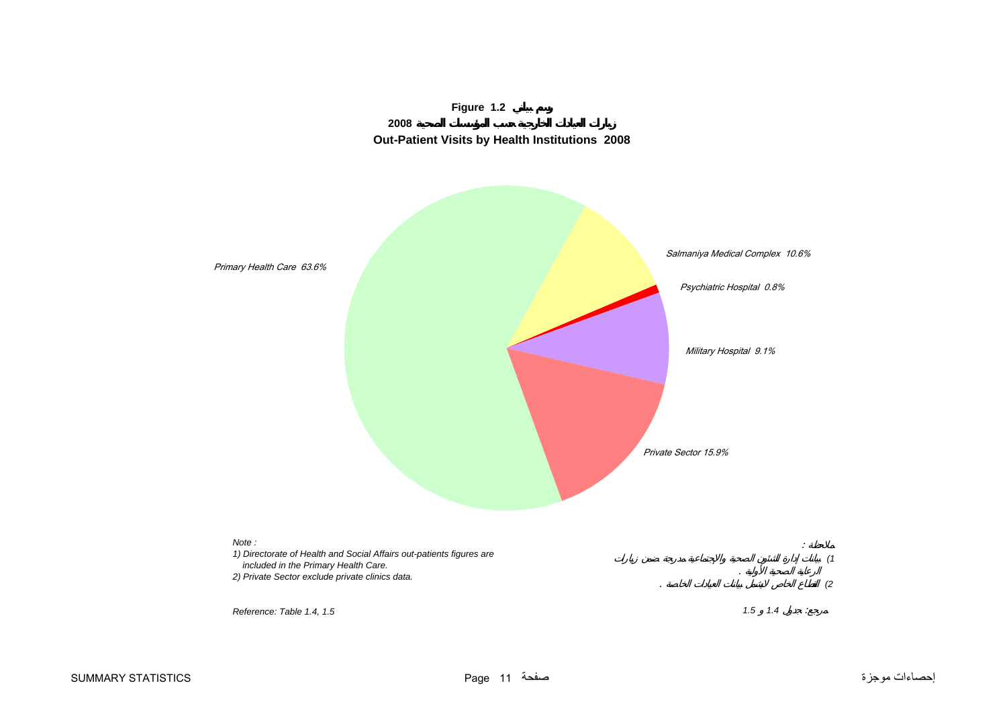

<span id="page-10-0"></span>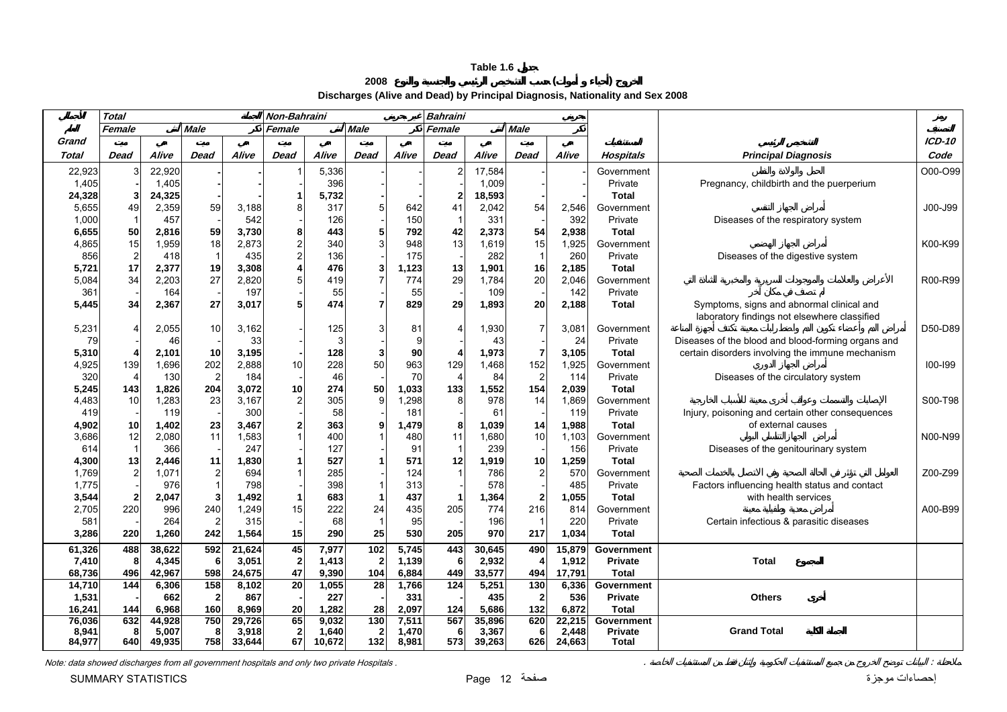**<sup>2008</sup> ( )** 

**Discharges (Alive and Dead) by Principal Diagnosis, Nationality and Sex 2008** 

<span id="page-11-0"></span>

|        | <b>Total</b>   |        |             |        | Non-Bahraini            |        |              |       | <b>Bahraini</b> |        |                |        |                   |                                                                                           |             |
|--------|----------------|--------|-------------|--------|-------------------------|--------|--------------|-------|-----------------|--------|----------------|--------|-------------------|-------------------------------------------------------------------------------------------|-------------|
|        | Female         |        | <b>Male</b> |        | Female                  |        | <b>Male</b>  |       | Female          |        | <b>Male</b>    |        |                   |                                                                                           |             |
| Grand  |                |        |             |        |                         |        |              |       |                 |        |                |        |                   |                                                                                           | $ICD-10$    |
| Total  | Dead           | Alive  | Dead        | Alive  | Dead                    | Alive  | Dead         | Alive | Dead            | Alive  | Dead           | Alive  | Hospitals         | <b>Principal Diagnosis</b>                                                                | Code        |
| 22,923 |                | 22,920 |             |        |                         | 5,336  |              |       |                 | 17,584 |                |        | Government        |                                                                                           | O00-O99     |
| 1,405  |                | 1,405  |             |        |                         | 396    |              |       |                 | 1,009  |                |        | Private           | Pregnancy, childbirth and the puerperium                                                  |             |
| 24,328 | -3             | 24,325 |             |        | 1                       | 5,732  |              |       | $\mathbf{2}$    | 18,593 |                |        | <b>Total</b>      |                                                                                           |             |
| 5,655  | 49             | 2,359  | 59          | 3,188  | 8                       | 317    |              | 642   | 41              | 2,042  | 54             | 2,546  | Government        |                                                                                           | J00-J99     |
| 1,000  | $\overline{1}$ | 457    |             | 542    |                         | 126    |              | 150   |                 | 331    |                | 392    | Private           | Diseases of the respiratory system                                                        |             |
| 6,655  | 50             | 2,816  | 59          | 3,730  | 8                       | 443    |              | 792   | 42              | 2,373  | 54             | 2,938  | <b>Total</b>      |                                                                                           |             |
| 4,865  | 15             | 1,959  | 18          | 2,873  | $\frac{2}{2}$           | 340    | 3            | 948   | 13              | 1,619  | 15             | 1,925  | Government        |                                                                                           | K00-K99     |
| 856    | $\overline{2}$ | 418    |             | 435    |                         | 136    |              | 175   |                 | 282    | $\overline{1}$ | 260    | Private           | Diseases of the digestive system                                                          |             |
| 5,721  | 17             | 2,377  | 19          | 3,308  | 4                       | 476    | 3            | 1,123 | 13              | 1,901  | 16             | 2,185  | <b>Total</b>      |                                                                                           |             |
| 5,084  | 34             | 2,203  | 27          | 2,820  | 5                       | 419    |              | 774   | 29              | 1,784  | 20             | 2,046  | Government        |                                                                                           | R00-R99     |
| 361    |                | 164    |             | 197    |                         | 55     |              | 55    |                 | 109    |                | 142    | Private           |                                                                                           |             |
| 5,445  | 34             | 2,367  | 27          | 3,017  | 5                       | 474    | 7            | 829   | 29              | 1,893  | 20             | 2,188  | <b>Total</b>      | Symptoms, signs and abnormal clinical and<br>laboratory findings not elsewhere classified |             |
| 5,231  |                | 2,055  | 10          | 3,162  |                         | 125    | 3            | 81    |                 | 1,930  | $\overline{7}$ | 3,081  | Government        |                                                                                           | D50-D89     |
| 79     |                | 46     |             | 33     |                         | 3      |              | 9     |                 | 43     |                | 24     | Private           | Diseases of the blood and blood-forming organs and                                        |             |
| 5,310  |                | 2,101  | 10          | 3,195  |                         | 128    | 3            | 90    |                 | 1,973  | $\overline{7}$ | 3,105  | <b>Total</b>      | certain disorders involving the immune mechanism                                          |             |
| 4,925  | 139            | 1,696  | 202         | 2,888  | 10                      | 228    | 50           | 963   | 129             | 1,468  | 152            | 1,925  | Government        |                                                                                           | $100 - 199$ |
| 320    | $\overline{4}$ | 130    |             | 184    |                         | 46     |              | 70    |                 | 84     | $\overline{c}$ | 114    | Private           | Diseases of the circulatory system                                                        |             |
| 5,245  | 143            | 1,826  | 204         | 3,072  | 10                      | 274    | 50           | 1,033 | 133             | 1,552  | 154            | 2,039  | <b>Total</b>      |                                                                                           |             |
| 4,483  | 10             | 1,283  | 23          | 3,167  | $\overline{\mathbf{c}}$ | 305    | $\mathbf{Q}$ | ,298  |                 | 978    | 14             | 1,869  | Government        |                                                                                           | S00-T98     |
| 419    |                | 119    |             | 300    |                         | 58     |              | 181   |                 | 61     |                | 119    | Private           | Injury, poisoning and certain other consequences                                          |             |
| 4,902  | 10             | 1,402  | 23          | 3,467  | 2                       | 363    |              | 1,479 | 8               | 1,039  | 14             | 1,988  | <b>Total</b>      | of external causes                                                                        |             |
| 3,686  | 12             | 2,080  | 11          | 1,583  | $\mathbf{1}$            | 400    |              | 480   | 11              | 1,680  | 10             | 1,103  | Government        |                                                                                           | N00-N99     |
| 614    | $\overline{1}$ | 366    |             | 247    |                         | 127    |              | 91    |                 | 239    |                | 156    | Private           | Diseases of the genitourinary system                                                      |             |
| 4,300  | 13             | 2,446  | 11          | 1,830  | $\mathbf{1}$            | 527    |              | 571   | 12              | 1,919  | 10             | 1,259  | <b>Total</b>      |                                                                                           |             |
| 1,769  | $\overline{2}$ | 1,071  | 2           | 694    | $\mathbf 1$             | 285    |              | 124   |                 | 786    | $\overline{2}$ | 570    | Government        |                                                                                           | Z00-Z99     |
| 1,775  |                | 976    |             | 798    |                         | 398    |              | 313   |                 | 578    |                | 485    | Private           | Factors influencing health status and contact                                             |             |
| 3,544  | 2              | 2,047  |             | 1,492  | 1                       | 683    |              | 437   |                 | 1,364  | $\overline{2}$ | 1,055  | <b>Total</b>      | with health services                                                                      |             |
| 2,705  | 220            | 996    | 240         | 1,249  | 15                      | 222    | 24           | 435   | 205             | 774    | 216            | 814    | Government        |                                                                                           | A00-B99     |
| 581    |                | 264    |             | 315    |                         | 68     |              | 95    |                 | 196    | $\overline{1}$ | 220    | Private           | Certain infectious & parasitic diseases                                                   |             |
| 3,286  | 220            | 1,260  | 242         | 1,564  | 15                      | 290    | 25           | 530   | 205             | 970    | 217            | 1,034  | <b>Total</b>      |                                                                                           |             |
| 61,326 | 488            | 38,622 | 592         | 21,624 | 45                      | 7,977  | 102          | 5,745 | 443             | 30,645 | 490            | 15,879 | Government        |                                                                                           |             |
| 7,410  | 8              | 4,345  | 6           | 3,051  | $\mathbf 2$             | 1,413  |              | 1,139 | 6               | 2,932  | 4              | 1,912  | <b>Private</b>    | <b>Total</b>                                                                              |             |
| 68,736 | 496            | 42,967 | 598         | 24,675 | 47                      | 9,390  | 104          | 6,884 | 449             | 33,577 | 494            | 17,791 | <b>Total</b>      |                                                                                           |             |
| 14,710 | 144            | 6,306  | 158         | 8,102  | 20                      | 1,055  | 28           | 1,766 | 124             | 5,251  | 130            | 6,336  | Government        |                                                                                           |             |
| 1,531  |                | 662    |             | 867    |                         | 227    |              | 331   |                 | 435    | $\overline{2}$ | 536    | <b>Private</b>    | <b>Others</b>                                                                             |             |
| 16,241 | 144            | 6,968  | 160         | 8,969  | 20                      | 1,282  | 28           | 2,097 | 124             | 5,686  | 132            | 6,872  | <b>Total</b>      |                                                                                           |             |
| 76,036 | 632            | 44,928 | 750         | 29,726 | 65                      | 9,032  | 130          | 7,511 | 567             | 35,896 | 620            | 22,215 | <b>Government</b> |                                                                                           |             |
| 8,941  | 8              | 5,007  | 8<br>758    | 3,918  | $\mathbf 2$<br>67       | 1,640  | -2           | 1,470 | 6               | 3,367  | 6              | 2,448  | <b>Private</b>    | <b>Grand Total</b>                                                                        |             |
| 84,977 | 640            | 49,935 |             | 33,644 |                         | 10,672 | 132          | 8,981 | 573             | 39,263 | 626            | 24,663 | <b>Total</b>      |                                                                                           |             |

Note: data showed discharges from all government hospitals and only two private Hospitals .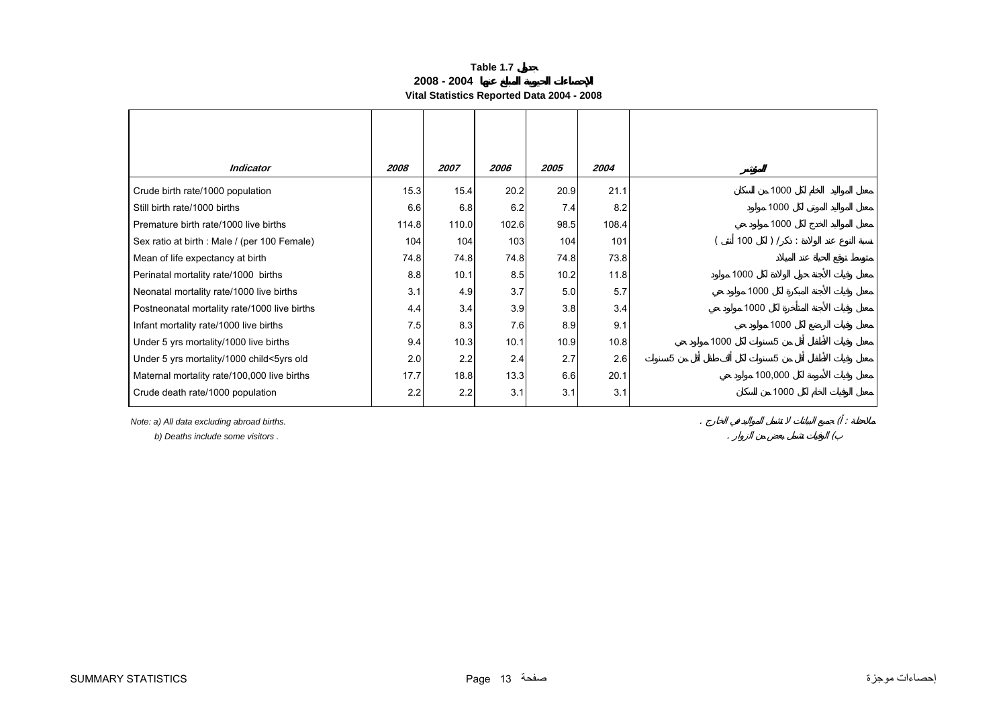| Table 1.7                                  |
|--------------------------------------------|
| 2008 - 2004                                |
| Vital Statistics Reported Data 2004 - 2008 |

<span id="page-12-0"></span>

| 2008  | 2007 | 2006  | 2005                                        | 2004  |                            |
|-------|------|-------|---------------------------------------------|-------|----------------------------|
| 15.3  | 15.4 | 20.2  | 20.9                                        | 21.1  | 1000                       |
| 6.6   | 6.8  | 6.2   | 7.4                                         | 8.2   | 1000                       |
| 114.8 |      | 102.6 |                                             | 108.4 | 1000                       |
| 104   | 104  | 103   | 104                                         | 101   | ) /<br>100<br>$\mathbb{R}$ |
|       |      |       |                                             | 73.8  |                            |
| 8.8   | 10.1 | 8.5   | 10.2                                        | 11.8  | 1000                       |
| 3.1   |      | 3.7   | 5.0                                         | 5.7   | 1000                       |
| 4.4   | 3.4  | 3.9   | 3.8                                         | 3.4   | 1000                       |
| 7.5   |      | 7.6   | 8.9                                         | 9.1   | 1000                       |
| 9.4   |      | 10.1  | 10.9                                        | 10.8  | 5<br>1000                  |
| 2.0   | 2.2  | 2.4   | 2.7                                         | 2.6   | 5<br>5                     |
| 17.7  |      | 13.3  | 6.6                                         | 20.1  | 100,000                    |
| 2.2   | 2.2  | 3.1   | 3.1                                         | 3.1   | 1000                       |
|       |      | 74.8  | 110.0<br>74.8<br>4.9<br>8.3<br>10.3<br>18.8 | 74.8  | 98.5<br>74.8               |

*Note: a) All data excluding abroad births.* . ( :

 *b) Deaths include some visitors .* . (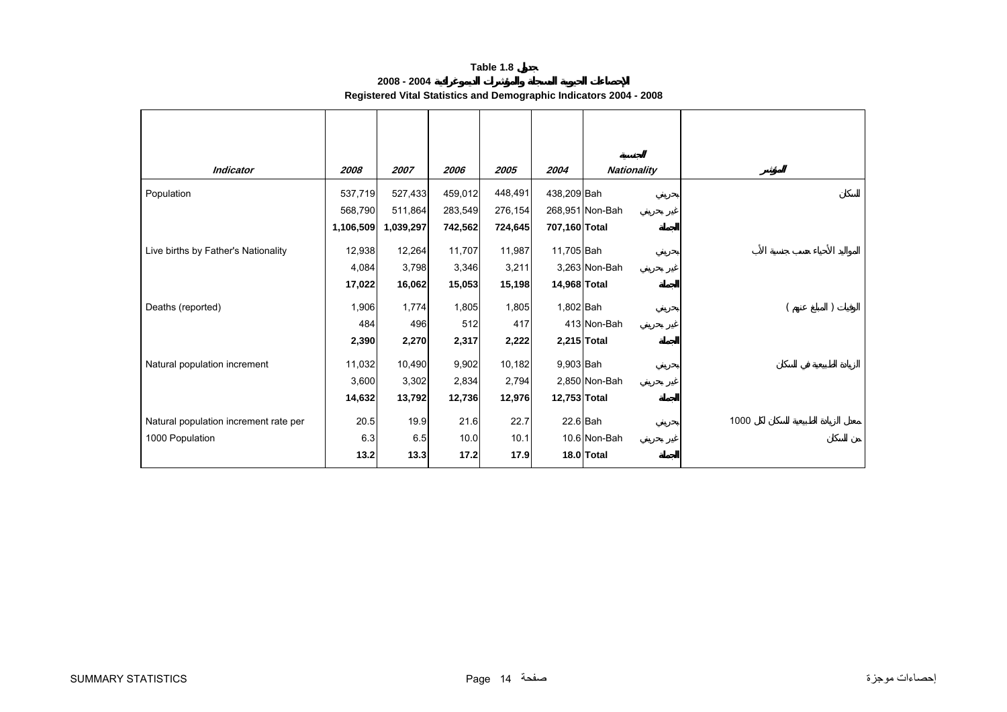| 2008 - 2004                                                        |  |  |
|--------------------------------------------------------------------|--|--|
| Registered Vital Statistics and Demographic Indicators 2004 - 2008 |  |  |

<span id="page-13-0"></span>

| <b>Indicator</b>                      | 2008      | 2007      | 2006    | 2005    | 2004          | <b>Nationality</b> |      |
|---------------------------------------|-----------|-----------|---------|---------|---------------|--------------------|------|
| Population                            | 537,719   | 527,433   | 459,012 | 448,491 | 438,209 Bah   |                    |      |
|                                       | 568,790   | 511,864   | 283,549 | 276,154 |               | 268,951 Non-Bah    |      |
|                                       | 1,106,509 | 1,039,297 | 742,562 | 724,645 | 707,160 Total |                    |      |
| Live births by Father's Nationality   | 12,938    | 12,264    | 11,707  | 11,987  | 11,705 Bah    |                    |      |
|                                       | 4,084     | 3,798     | 3,346   | 3,211   |               | 3,263 Non-Bah      |      |
|                                       | 17,022    | 16,062    | 15,053  | 15,198  | 14,968 Total  |                    |      |
| Deaths (reported)                     | 1,906     | 1,774     | 1,805   | 1,805   | 1,802 Bah     |                    |      |
|                                       | 484       | 496       | 512     | 417     |               | 413 Non-Bah        |      |
|                                       | 2,390     | 2,270     | 2,317   | 2,222   |               | 2,215 Total        |      |
| Natural population increment          | 11,032    | 10,490    | 9,902   | 10,182  | 9,903 Bah     |                    |      |
|                                       | 3,600     | 3,302     | 2,834   | 2,794   |               | 2,850 Non-Bah      |      |
|                                       | 14,632    | 13,792    | 12,736  | 12,976  | 12,753 Total  |                    |      |
| Natural population increment rate per | 20.5      | 19.9      | 21.6    | 22.7    | $22.6$ Bah    |                    | 1000 |
| 1000 Population                       | 6.3       | 6.5       | 10.0    | 10.1    |               | 10.6 Non-Bah       |      |
|                                       | 13.2      | 13.3      | 17.2    | 17.9    |               | 18.0 Total         |      |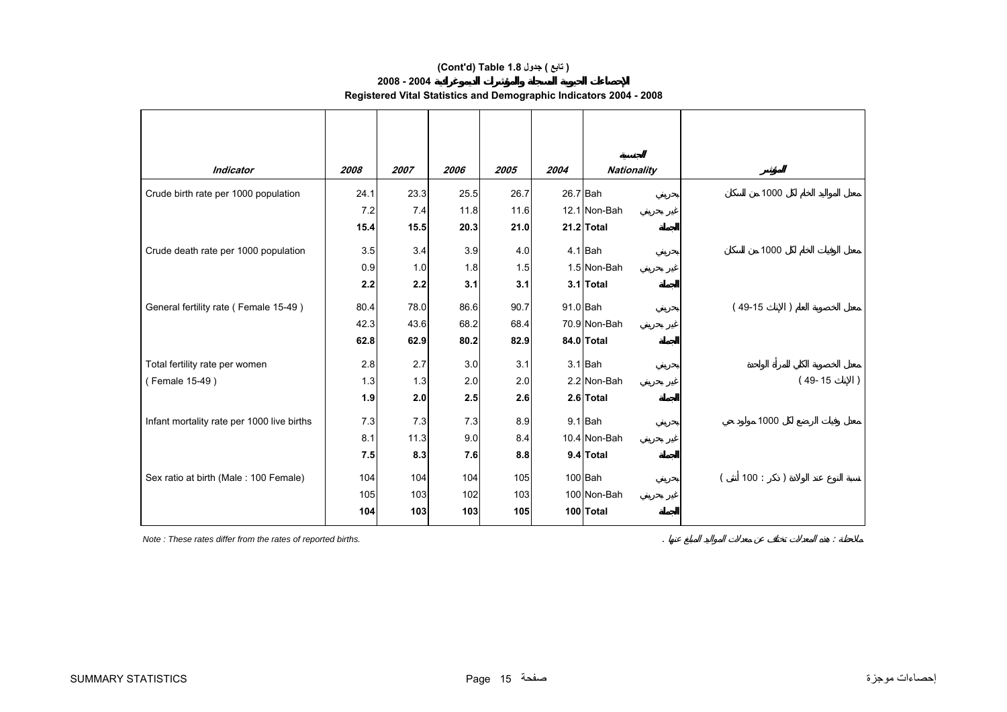## **(Cont'd) Table 1.8 جدول ) تابع(**

## **2008 - 2004**

| Registered Vital Statistics and Demographic Indicators 2004 - 2008 |  |  |
|--------------------------------------------------------------------|--|--|
|                                                                    |  |  |

| <b>Indicator</b>                           | 2008 | 2007 | 2006 | 2005 | 2004 | <b>Nationality</b> |                   |
|--------------------------------------------|------|------|------|------|------|--------------------|-------------------|
| Crude birth rate per 1000 population       | 24.1 | 23.3 | 25.5 | 26.7 |      | 26.7 Bah           | 1000              |
|                                            | 7.2  | 7.4  | 11.8 | 11.6 |      | 12.1 Non-Bah       |                   |
|                                            | 15.4 | 15.5 | 20.3 | 21.0 |      | $21.2$ Total       |                   |
| Crude death rate per 1000 population       | 3.5  | 3.4  | 3.9  | 4.0  |      | $4.1$ Bah          | 1000              |
|                                            | 0.9  | 1.0  | 1.8  | 1.5  |      | 1.5 Non-Bah        |                   |
|                                            | 2.2  | 2.2  | 3.1  | 3.1  |      | 3.1 Total          |                   |
| General fertility rate (Female 15-49)      | 80.4 | 78.0 | 86.6 | 90.7 |      | $91.0$ Bah         | $(49-15)$         |
|                                            | 42.3 | 43.6 | 68.2 | 68.4 |      | 70.9 Non-Bah       |                   |
|                                            | 62.8 | 62.9 | 80.2 | 82.9 |      | 84.0 Total         |                   |
| Total fertility rate per women             | 2.8  | 2.7  | 3.0  | 3.1  |      | $3.1$ Bah          |                   |
| (Female 15-49)                             | 1.3  | 1.3  | 2.0  | 2.0  |      | 2.2 Non-Bah        | $(49-15)$         |
|                                            | 1.9  | 2.0  | 2.5  | 2.6  |      | 2.6 Total          |                   |
| Infant mortality rate per 1000 live births | 7.3  | 7.3  | 7.3  | 8.9  |      | $9.1$ Bah          | 1000              |
|                                            | 8.1  | 11.3 | 9.0  | 8.4  |      | 10.4 Non-Bah       |                   |
|                                            | 7.5  | 8.3  | 7.6  | 8.8  |      | 9.4 Total          |                   |
| Sex ratio at birth (Male: 100 Female)      | 104  | 104  | 104  | 105  |      | 100 Bah            | 100:<br>$\lambda$ |
|                                            | 105  | 103  | 102  | 103  |      | 100 Non-Bah        |                   |
|                                            | 104  | 103  | 103  | 105  |      | 100 Total          |                   |

*Note : These rates differ from the rates of reported births.*  $\therefore$  :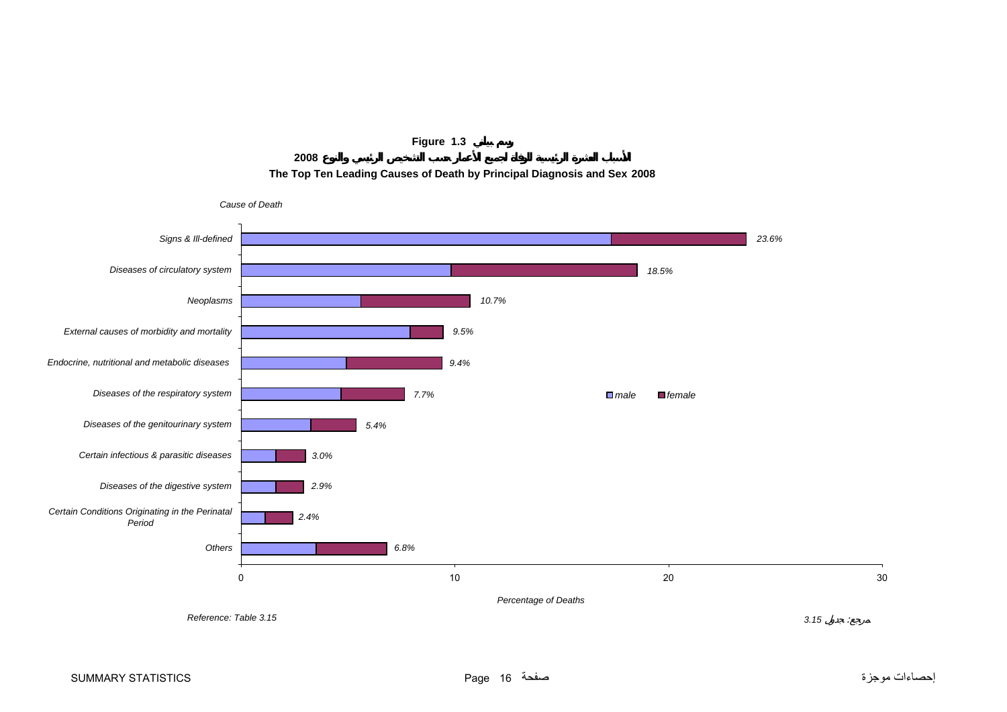

**2008The Top Ten Leading Causes of Death by Principal Diagnosis and Sex 2008**

<span id="page-15-0"></span>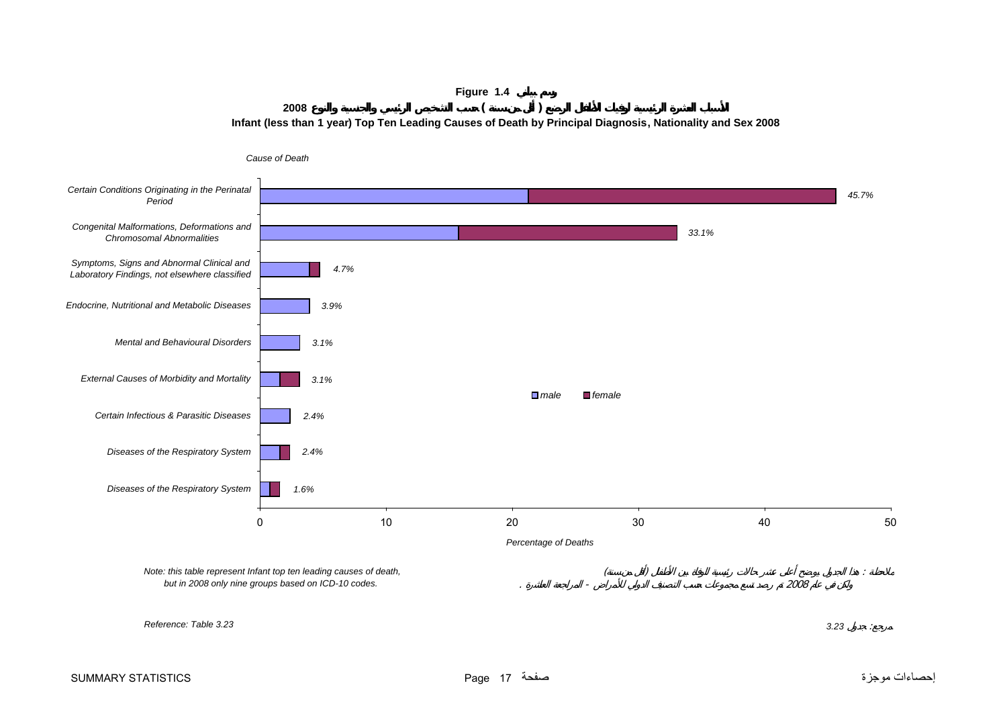**Figure 1.4 <sup>2008</sup> ( ) Infant (less than 1 year) Top Ten Leading Causes of Death by Principal Diagnosis, Nationality and Sex 2008**

<span id="page-16-0"></span>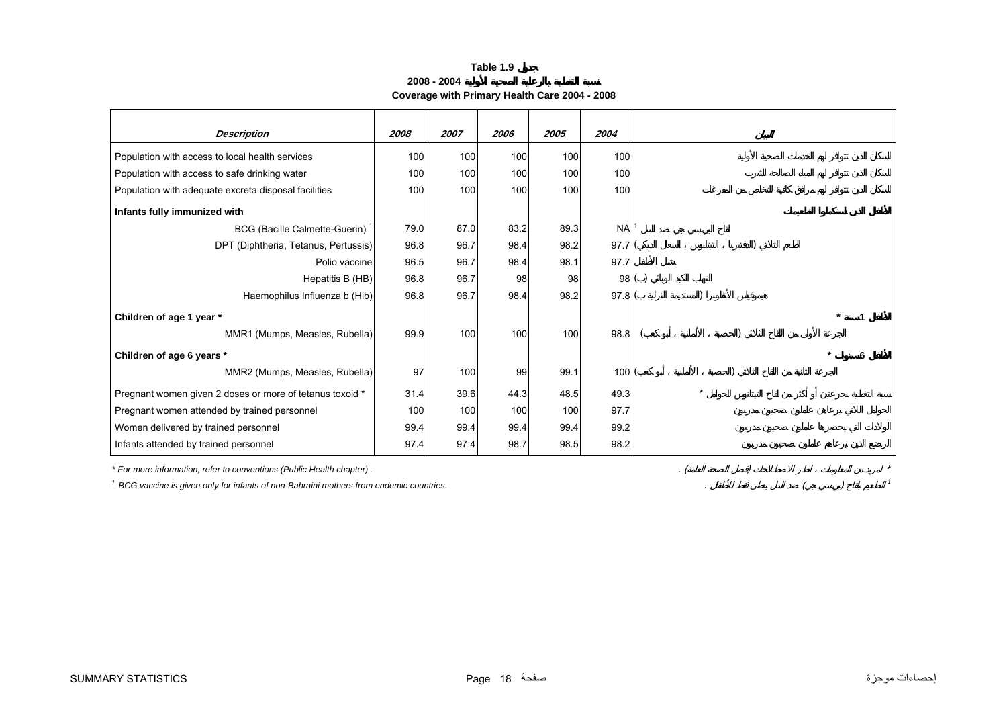**2008 - 2004**

**Coverage with Primary Health Care 2004 - 2008**

<span id="page-17-0"></span>

| <b>Description</b>                                                                    | 2008 | 2007 | 2006             | 2005 | 2004      |  |
|---------------------------------------------------------------------------------------|------|------|------------------|------|-----------|--|
|                                                                                       |      |      |                  |      |           |  |
| Population with access to local health services                                       | 100  | 100  | 100              | 100  | 100       |  |
| Population with access to safe drinking water                                         | 100  | 100  | 100              | 100  | 100       |  |
| Population with adequate excreta disposal facilities                                  | 100  | 100  | 100 <sub>l</sub> | 100  | 100       |  |
| Infants fully immunized with                                                          |      |      |                  |      |           |  |
| BCG (Bacille Calmette-Guerin)                                                         | 79.0 | 87.0 | 83.2             | 89.3 | <b>NA</b> |  |
| DPT (Diphtheria, Tetanus, Pertussis)                                                  | 96.8 | 96.7 | 98.4             | 98.2 | 97.7(     |  |
| Polio vaccine                                                                         | 96.5 | 96.7 | 98.4             | 98.1 | 97.7      |  |
| Hepatitis B (HB)                                                                      | 96.8 | 96.7 | 98               | 98   | 98()      |  |
| Haemophilus Influenza b (Hib)                                                         | 96.8 | 96.7 | 98.4             | 98.2 | 97.8(     |  |
| Children of age 1 year *                                                              |      |      |                  |      |           |  |
| MMR1 (Mumps, Measles, Rubella)                                                        | 99.9 | 100  | 100              | 100  | 98.8      |  |
| Children of age 6 years *                                                             |      |      |                  |      |           |  |
| MMR2 (Mumps, Measles, Rubella)                                                        | 97   | 100  | 99               | 99.1 | 100(      |  |
| Pregnant women given 2 doses or more of tetanus toxoid *                              | 31.4 | 39.6 | 44.3             | 48.5 | 49.3      |  |
| Pregnant women attended by trained personnel                                          | 100  | 100  | 100              | 100  | 97.7      |  |
| Women delivered by trained personnel                                                  | 99.4 | 99.4 | 99.4             | 99.4 | 99.2      |  |
| Infants attended by trained personnel                                                 | 97.4 | 97.4 | 98.7             | 98.5 | 98.2      |  |
| * For more information, refer to conventions (Public Health chapter).                 |      |      |                  |      |           |  |
| BCG vaccine is given only for infants of non-Bahraini mothers from endemic countries. |      |      |                  |      |           |  |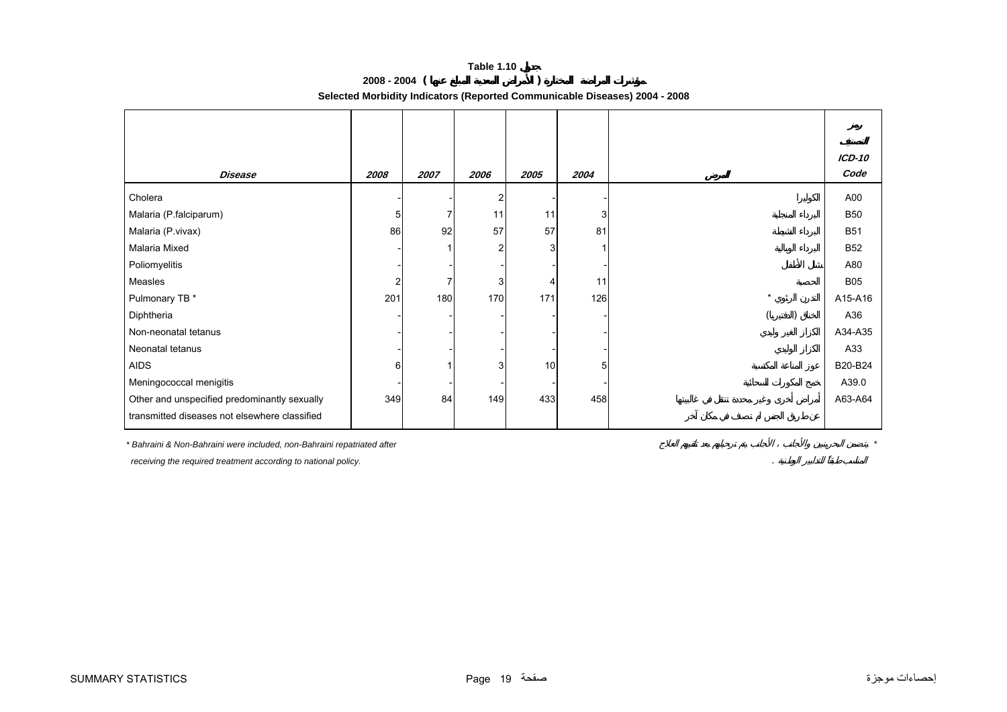**2008 - 2004 ( )** 

**Selected Morbidity Indicators (Reported Communicable Diseases) 2004 - 2008**

<span id="page-18-0"></span>

|                                               |                |      |                |      |      |         | <b>ICD-10</b> |
|-----------------------------------------------|----------------|------|----------------|------|------|---------|---------------|
| <b>Disease</b>                                | 2008           | 2007 | 2006           | 2005 | 2004 |         | Code          |
| Cholera                                       |                |      | $\overline{2}$ |      |      |         | A00           |
| Malaria (P.falciparum)                        | 5              | 7    | 11             | 11   | 3    |         | <b>B50</b>    |
| Malaria (P.vivax)                             | 86             | 92   | 57             | 57   | 81   |         | <b>B51</b>    |
| Malaria Mixed                                 |                |      | 2              | 3    |      |         | <b>B52</b>    |
| Poliomyelitis                                 |                |      |                |      |      |         | A80           |
| Measles                                       | $\overline{2}$ | ⇁    | 3              | 4    | 11   |         | <b>B05</b>    |
| Pulmonary TB *                                | 201            | 180  | 170            | 171  | 126  | $\star$ | A15-A16       |
| Diphtheria                                    |                |      |                |      |      |         | A36           |
| Non-neonatal tetanus                          |                |      |                |      |      |         | A34-A35       |
| Neonatal tetanus                              |                |      |                |      |      |         | A33           |
| <b>AIDS</b>                                   | 6              |      | 3              | 10   | 5    |         | B20-B24       |
| Meningococcal menigitis                       |                |      |                |      |      |         | A39.0         |
| Other and unspecified predominantly sexually  | 349            | 84   | 149            | 433  | 458  |         | A63-A64       |
| transmitted diseases not elsewhere classified |                |      |                |      |      |         |               |

*\* Bahraini & Non-Bahraini were included, non-Bahraini repatriated after \**

 *receiving the required treatment according to national policy.* .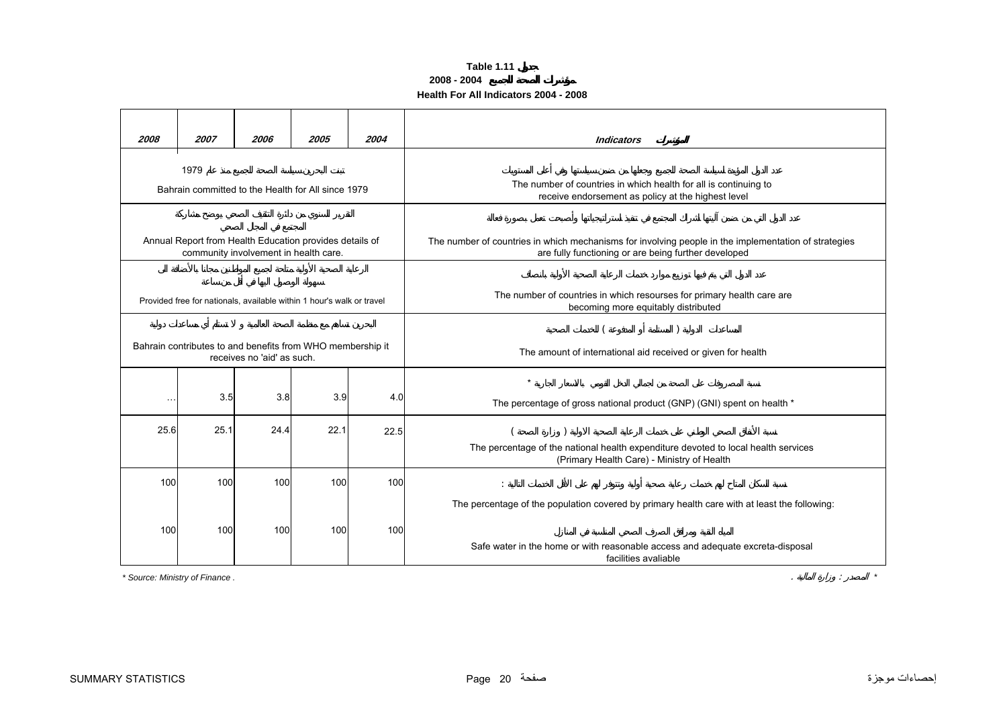### **Table 1.11 2008 - 2004 Health For All Indicators 2004 - 2008**

<span id="page-19-0"></span>

| 2008      | 2007                           | 2006                                                                                             | 2005 | 2004 | <b>Indicators</b>                                                                                                                                            |  |  |  |  |
|-----------|--------------------------------|--------------------------------------------------------------------------------------------------|------|------|--------------------------------------------------------------------------------------------------------------------------------------------------------------|--|--|--|--|
|           | 1979                           |                                                                                                  |      |      |                                                                                                                                                              |  |  |  |  |
|           |                                | Bahrain committed to the Health for All since 1979                                               |      |      | The number of countries in which health for all is continuing to<br>receive endorsement as policy at the highest level                                       |  |  |  |  |
|           |                                |                                                                                                  |      |      |                                                                                                                                                              |  |  |  |  |
|           |                                | Annual Report from Health Education provides details of<br>community involvement in health care. |      |      | The number of countries in which mechanisms for involving people in the implementation of strategies<br>are fully functioning or are being further developed |  |  |  |  |
|           |                                |                                                                                                  |      |      |                                                                                                                                                              |  |  |  |  |
|           |                                | Provided free for nationals, available within 1 hour's walk or travel                            |      |      | The number of countries in which resourses for primary health care are<br>becoming more equitably distributed                                                |  |  |  |  |
|           |                                |                                                                                                  |      |      |                                                                                                                                                              |  |  |  |  |
|           |                                | Bahrain contributes to and benefits from WHO membership it<br>receives no 'aid' as such.         |      |      | The amount of international aid received or given for health                                                                                                 |  |  |  |  |
|           |                                |                                                                                                  |      |      | $\star$                                                                                                                                                      |  |  |  |  |
| $\ddotsc$ | 3.5                            | 3.8                                                                                              | 3.9  | 4.0  | The percentage of gross national product (GNP) (GNI) spent on health *                                                                                       |  |  |  |  |
| 25.6      | 25.1                           | 24.4                                                                                             | 22.1 | 22.5 |                                                                                                                                                              |  |  |  |  |
|           |                                |                                                                                                  |      |      | The percentage of the national health expenditure devoted to local health services<br>(Primary Health Care) - Ministry of Health                             |  |  |  |  |
| 100       | 100                            | 100                                                                                              | 100  | 100  |                                                                                                                                                              |  |  |  |  |
|           |                                |                                                                                                  |      |      | The percentage of the population covered by primary health care with at least the following:                                                                 |  |  |  |  |
| 100       | 100                            | 100                                                                                              | 100  | 100  |                                                                                                                                                              |  |  |  |  |
|           |                                |                                                                                                  |      |      | Safe water in the home or with reasonable access and adequate excreta-disposal<br>facilities avaliable                                                       |  |  |  |  |
|           | * Source: Ministry of Finance. |                                                                                                  |      |      |                                                                                                                                                              |  |  |  |  |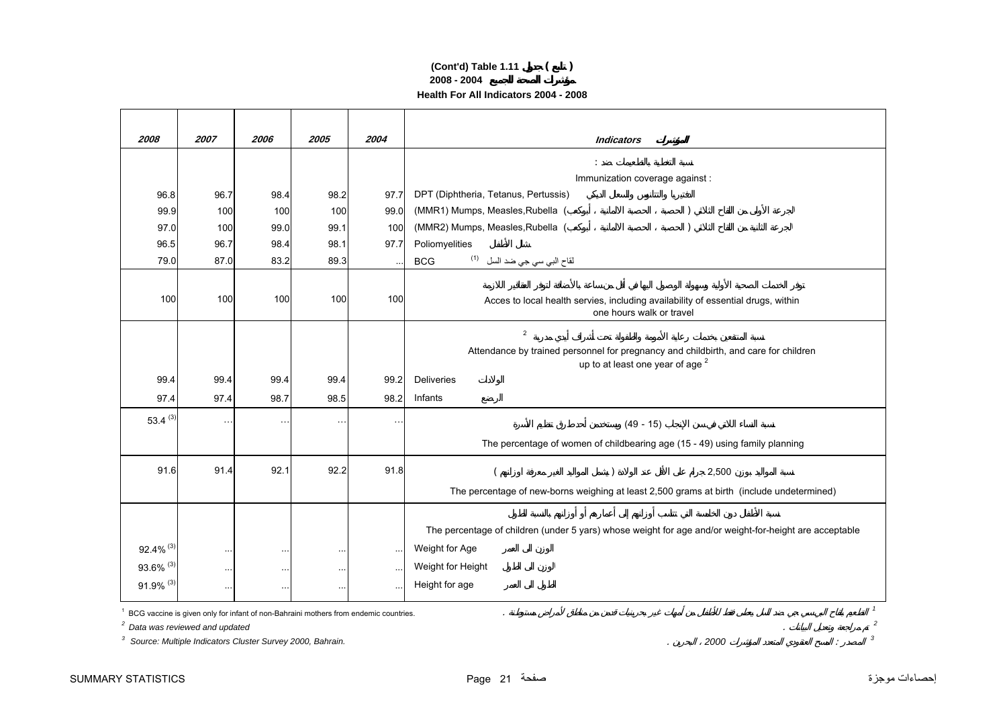## **2008 - 2004 Health For All Indicators 2004 - 2008 (Cont'd) Table 1.11 ( )**

| 2008                                       | 2007      | 2006                                                      | 2005                                                                                 | 2004      | <b>Indicators</b>                                                                                            |
|--------------------------------------------|-----------|-----------------------------------------------------------|--------------------------------------------------------------------------------------|-----------|--------------------------------------------------------------------------------------------------------------|
|                                            |           |                                                           |                                                                                      |           |                                                                                                              |
|                                            |           |                                                           |                                                                                      |           | Immunization coverage against :                                                                              |
| 96.8                                       | 96.7      | 98.4                                                      | 98.2                                                                                 | 97.7      | DPT (Diphtheria, Tetanus, Pertussis)                                                                         |
| 99.9                                       | 100       | 100                                                       | 100                                                                                  | 99.0      | (MMR1) Mumps, Measles, Rubella (                                                                             |
| 97.0                                       | 100       | 99.0                                                      | 99.1                                                                                 | 100       | (MMR2) Mumps, Measles, Rubella (                                                                             |
| 96.5                                       | 96.7      | 98.4                                                      | 98.1                                                                                 | 97.7      | Poliomyelities                                                                                               |
| 79.0                                       | 87.0      | 83.2                                                      | 89.3                                                                                 |           | لقاح الب <i>ي</i> سي جي ضد السل <sup>(1)</sup><br><b>BCG</b>                                                 |
|                                            |           |                                                           |                                                                                      |           |                                                                                                              |
| 100                                        | 100       | 100                                                       | 100                                                                                  | 100       | Acces to local health servies, including availability of essential drugs, within<br>one hours walk or travel |
|                                            |           |                                                           |                                                                                      |           | $\overline{2}$                                                                                               |
|                                            |           |                                                           |                                                                                      |           | Attendance by trained personnel for pregnancy and childbirth, and care for children                          |
|                                            |           |                                                           |                                                                                      |           | up to at least one year of age <sup>2</sup>                                                                  |
| 99.4                                       | 99.4      | 99.4                                                      | 99.4                                                                                 | 99.2      | <b>Deliveries</b>                                                                                            |
| 97.4                                       | 97.4      | 98.7                                                      | 98.5                                                                                 | 98.2      | Infants                                                                                                      |
| 53.4 $(3)$                                 | $\cdot$ . | $\ddot{\phantom{1}}$ .                                    | $\ddotsc$                                                                            | $\ddotsc$ | $(49 - 15)$                                                                                                  |
|                                            |           |                                                           |                                                                                      |           | The percentage of women of childbearing age (15 - 49) using family planning                                  |
|                                            |           |                                                           |                                                                                      |           |                                                                                                              |
| 91.6                                       | 91.4      | 92.1                                                      | 92.2                                                                                 | 91.8      | 2,500                                                                                                        |
|                                            |           |                                                           |                                                                                      |           | The percentage of new-borns weighing at least 2,500 grams at birth (include undetermined)                    |
|                                            |           |                                                           |                                                                                      |           |                                                                                                              |
|                                            |           |                                                           |                                                                                      |           | The percentage of children (under 5 yars) whose weight for age and/or weight-for-height are acceptable       |
| $92.4\%$ <sup>(3)</sup>                    | $\sim$    | $\sim$                                                    | $\ldots$                                                                             | $\cdots$  | Weight for Age                                                                                               |
| 93.6% (3)                                  | $\sim$    | $\ddotsc$                                                 | $\ddotsc$                                                                            | $\ddotsc$ | Weight for Height                                                                                            |
| 91.9% (3)                                  | $\sim$    | $\ddotsc$                                                 | $\ddotsc$                                                                            |           | Height for age                                                                                               |
|                                            |           |                                                           |                                                                                      |           | $\mathbf{1}$                                                                                                 |
| <sup>2</sup> Data was reviewed and updated |           |                                                           | BCG vaccine is given only for infant of non-Bahraini mothers from endemic countries. |           | $\mathfrak{p}$                                                                                               |
| 3                                          |           | Source: Multiple Indicators Cluster Survey 2000, Bahrain. |                                                                                      |           | 3<br>2000                                                                                                    |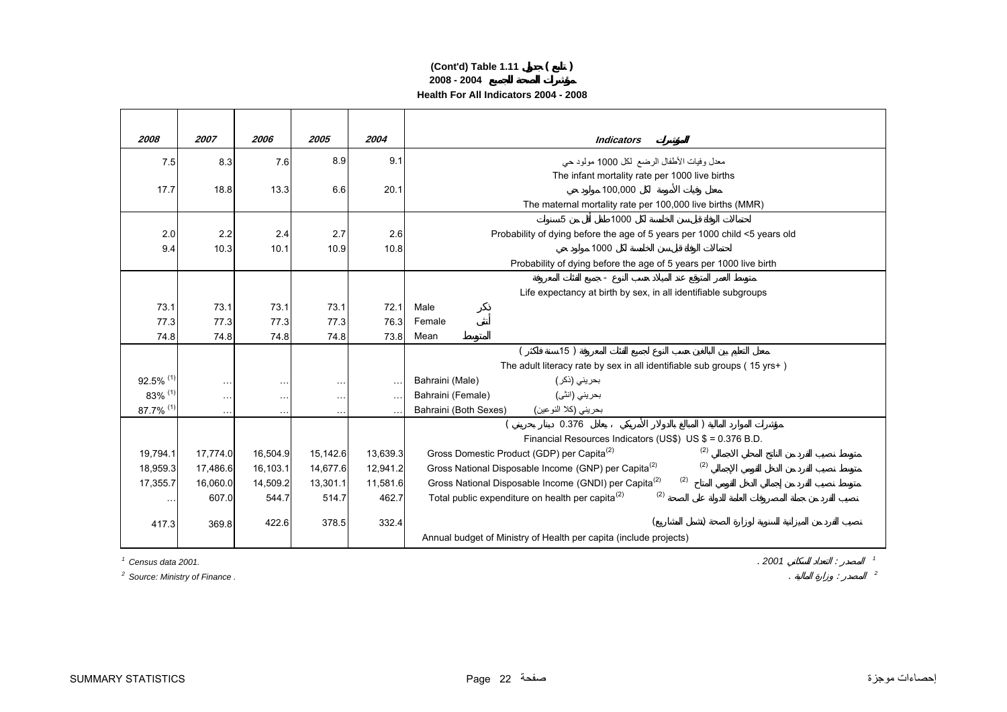## **(Cont'd) Table 1.11 ( ) 2008 - 2004 Health For All Indicators 2004 - 2008**

| 2008                               | 2007                 | 2006      | 2005          | 2004          | <b>Indicators</b>                                                          |
|------------------------------------|----------------------|-----------|---------------|---------------|----------------------------------------------------------------------------|
| 7.5                                | 8.3                  | 7.6       | 8.9           | 9.1           | معدل وفيات الأطفال الرضع لكل 1000 مولود حي                                 |
|                                    |                      |           |               |               | The infant mortality rate per 1000 live births                             |
| 17.7                               | 18.8                 | 13.3      | 6.6           | 20.1          | 100.000                                                                    |
|                                    |                      |           |               |               | The maternal mortality rate per 100,000 live births (MMR)                  |
|                                    |                      |           |               |               | 5<br>1000                                                                  |
| 2.0                                | 2.2                  | 2.4       | 2.7           | 2.6           | Probability of dying before the age of 5 years per 1000 child <5 years old |
| 9.4                                | 10.3                 | 10.1      | 10.9          | 10.8          | 1000                                                                       |
|                                    |                      |           |               |               | Probability of dying before the age of 5 years per 1000 live birth         |
|                                    |                      |           |               |               |                                                                            |
|                                    |                      |           |               |               | Life expectancy at birth by sex, in all identifiable subgroups             |
| 73.1                               | 73.1                 | 73.1      | 73.1          | 72.1          | Male                                                                       |
| 77.3                               | 77.3                 | 77.3      | 77.3          | 76.3          | Female                                                                     |
| 74.8                               | 74.8                 | 74.8      | 74.8          | 73.8          | Mean                                                                       |
|                                    |                      |           |               |               | 15)                                                                        |
|                                    |                      |           |               |               | The adult literacy rate by sex in all identifiable sub groups ( $15$ yrs+) |
| $92.5\%$ <sup>(1)</sup><br>83% (1) | $\sim$ $\sim$ $\sim$ | $\cdots$  | $\ddotsc$     | $\sim$ $\sim$ | Bahraini (Male)<br>بحريني (ذكر )<br>بحريني (انٹي)<br>Bahraini (Female)     |
| 87.7% (1)                          | $\ddotsc$            | $\ddotsc$ | $\ddotsc$     |               | بحريني (كلا النوعين)<br>Bahraini (Both Sexes)                              |
|                                    | $\cdots$             | $\ldots$  | $\sim$ $\sim$ |               | 0.376                                                                      |
|                                    |                      |           |               |               | Financial Resources Indicators (US\$) US \$ = 0.376 B.D.                   |
| 19,794.1                           | 17,774.0             | 16,504.9  | 15,142.6      | 13,639.3      | (2)<br>Gross Domestic Product (GDP) per Capita <sup>(2)</sup>              |
| 18,959.3                           | 17,486.6             | 16,103.1  | 14,677.6      | 12,941.2      | (2)<br>Gross National Disposable Income (GNP) per Capita <sup>(2)</sup>    |
| 17,355.7                           | 16,060.0             | 14,509.2  | 13,301.1      | 11,581.6      | (2)<br>Gross National Disposable Income (GNDI) per Capita <sup>(2)</sup>   |
| $\sim$ $\sim$                      | 607.0                | 544.7     | 514.7         | 462.7         | (2)<br>Total public expenditure on health per capita <sup>(2)</sup>        |
|                                    |                      |           |               |               |                                                                            |
| 417.3                              | 369.8                | 422.6     | 378.5         | 332.4         |                                                                            |
|                                    |                      |           |               |               | Annual budget of Ministry of Health per capita (include projects)          |

*1 Census data 2001.*

*2 Source: Ministry of Finance .* . : *<sup>2</sup>*

.  $2001$   $100$   $100$   $100$   $100$   $100$   $100$   $100$   $100$   $100$   $100$   $100$   $100$   $100$   $100$   $100$   $100$   $100$   $100$   $100$   $100$   $100$   $100$   $100$   $100$   $100$   $100$   $100$   $100$   $100$   $100$   $100$   $100$   $100$   $100$   $100$   $1$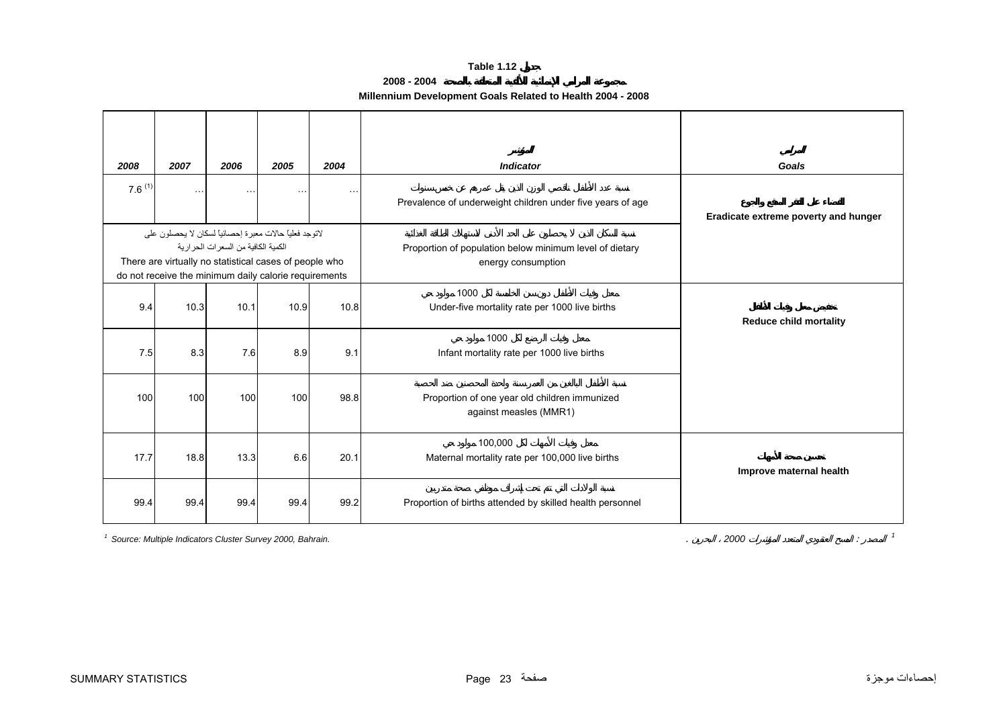## **2008 - 2004**

## **Millennium Development Goals Related to Health 2004 - 2008**

<span id="page-22-0"></span>

| 2008        | 2007                                                       | 2006                                  | 2005     | 2004      | <b>Indicator</b>                                                              | Goals                                |
|-------------|------------------------------------------------------------|---------------------------------------|----------|-----------|-------------------------------------------------------------------------------|--------------------------------------|
| $7.6^{(1)}$ | $\cdots$                                                   | $\cdots$                              | $\cdots$ | $\ddotsc$ | Prevalence of underweight children under five years of age                    | Eradicate extreme poverty and hunger |
|             | لاتوجد فعليًّا حالات معبر ة إحصـائيًّا لسكان لا يحصلون على |                                       |          |           |                                                                               |                                      |
|             | There are virtually no statistical cases of people who     | الكمية الكافية من السعر ات الحر ار ية |          |           | Proportion of population below minimum level of dietary<br>energy consumption |                                      |
|             | do not receive the minimum daily calorie requirements      |                                       |          |           |                                                                               |                                      |
| 9.4         | 10.3                                                       | 10.1                                  | 10.9     | 10.8      | 1000<br>Under-five mortality rate per 1000 live births                        | <b>Reduce child mortality</b>        |
| 7.5         | 8.3                                                        | 7.6                                   | 8.9      | 9.1       | 1000<br>Infant mortality rate per 1000 live births                            |                                      |
| 100         | 100                                                        | 100                                   | 100      | 98.8      | Proportion of one year old children immunized<br>against measles (MMR1)       |                                      |
| 17.7        | 18.8                                                       | 13.3                                  | 6.6      | 20.1      | 100.000<br>Maternal mortality rate per 100,000 live births                    | Improve maternal health              |
| 99.4        | 99.4                                                       | 99.4                                  | 99.4     | 99.2      | Proportion of births attended by skilled health personnel                     |                                      |

*1 Source: Multiple Indicators Cluster Survey 2000, Bahrain.* . *<sup>2000</sup>* : *<sup>1</sup>*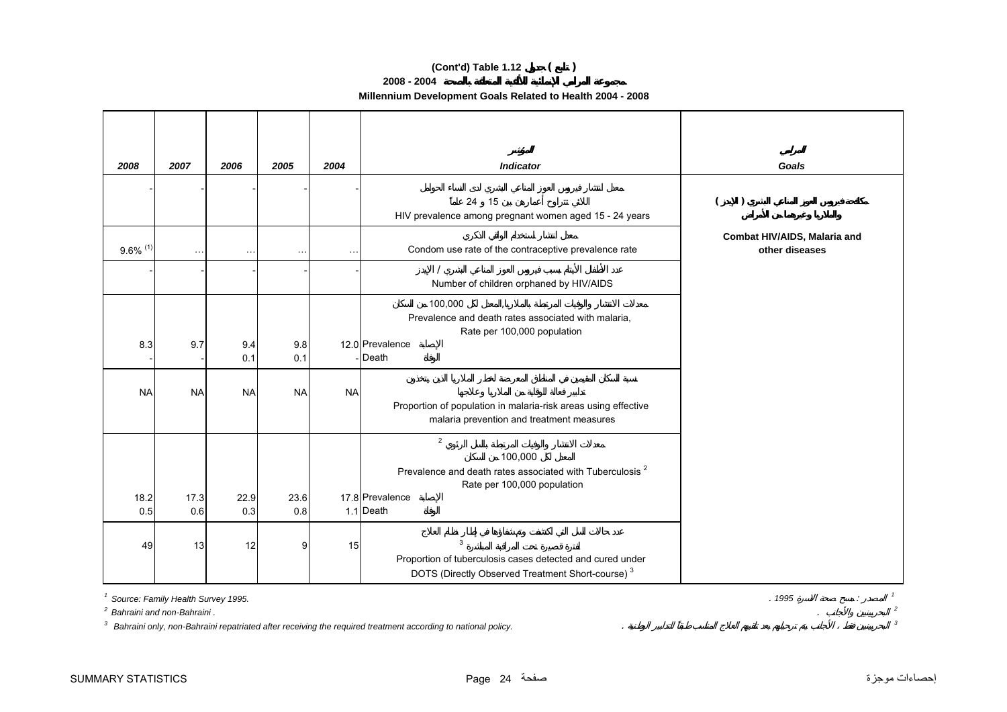## **(Cont'd) Table 1.12 ( )**

**2008 - 2004**

**Millennium Development Goals Related to Health 2004 - 2008**

| 2008                   | 2007        | 2006        | 2005        | 2004      | <b>Indicator</b>                                                                                                                                                 | Goals                                          |
|------------------------|-------------|-------------|-------------|-----------|------------------------------------------------------------------------------------------------------------------------------------------------------------------|------------------------------------------------|
|                        |             |             |             |           | 24 15<br>HIV prevalence among pregnant women aged 15 - 24 years                                                                                                  | $\lambda$                                      |
| $9.6\%$ <sup>(1)</sup> | $\ddotsc$   |             | $\ddotsc$   |           | Condom use rate of the contraceptive prevalence rate                                                                                                             | Combat HIV/AIDS, Malaria and<br>other diseases |
|                        |             |             |             |           | Number of children orphaned by HIV/AIDS                                                                                                                          |                                                |
| 8.3                    | 9.7         | 9.4<br>0.1  | 9.8<br>0.1  |           | 100,000<br>$\sim$<br>Prevalence and death rates associated with malaria,<br>Rate per 100,000 population<br>12.0 Prevalence<br>Death                              |                                                |
| <b>NA</b>              | <b>NA</b>   | <b>NA</b>   | <b>NA</b>   | <b>NA</b> | Proportion of population in malaria-risk areas using effective<br>malaria prevention and treatment measures                                                      |                                                |
| 18.2<br>0.5            | 17.3<br>0.6 | 22.9<br>0.3 | 23.6<br>0.8 |           | $\overline{2}$<br>100,000<br>Prevalence and death rates associated with Tuberculosis <sup>2</sup><br>Rate per 100,000 population<br>17.8 Prevalence<br>1.1 Death |                                                |
| 49                     | 13          | 12          | 9           | 15        | $\mathbf{3}$<br>Proportion of tuberculosis cases detected and cured under<br>DOTS (Directly Observed Treatment Short-course) <sup>3</sup>                        |                                                |

*1 Source: Family Health Survey 1995.* . *1995* : *<sup>1</sup>*

*2 Bahraini and non-Bahraini .*

*3 Bahraini only, non-Bahraini repatriated after receiving the required treatment according to national policy.* . *<sup>3</sup>*

. **1995**  $\therefore$   $\frac{1}{2}$ <br> $\frac{2}{3}$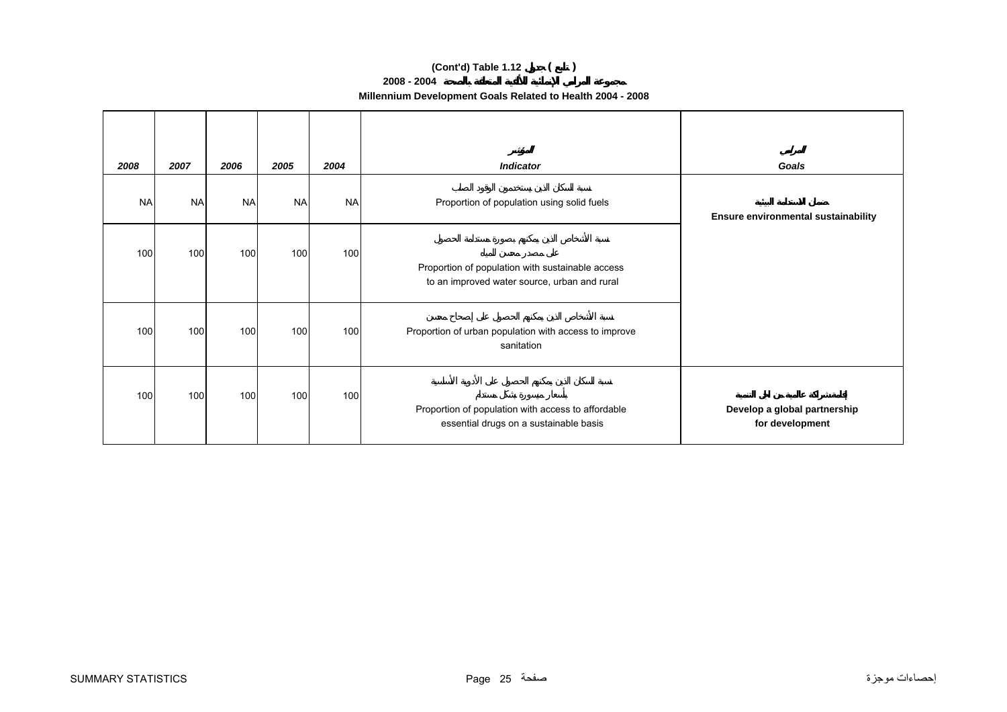## **(Cont'd) Table 1.12 ( )**

## **2008 - 2004**

| 2008      | 2007      | 2006      | 2005      | 2004      | <b>Indicator</b>                                                                                 | Goals                                           |
|-----------|-----------|-----------|-----------|-----------|--------------------------------------------------------------------------------------------------|-------------------------------------------------|
| <b>NA</b> | <b>NA</b> | <b>NA</b> | <b>NA</b> | <b>NA</b> | Proportion of population using solid fuels                                                       | Ensure environmental sustainability             |
| 100       | 100       | 100       | 100       | 100       | Proportion of population with sustainable access<br>to an improved water source, urban and rural |                                                 |
| 100       | 100       | 100       | 100       | 100       | Proportion of urban population with access to improve<br>sanitation                              |                                                 |
| 100       | 100       | 100       | 100       | 100       | Proportion of population with access to affordable<br>essential drugs on a sustainable basis     | Develop a global partnership<br>for development |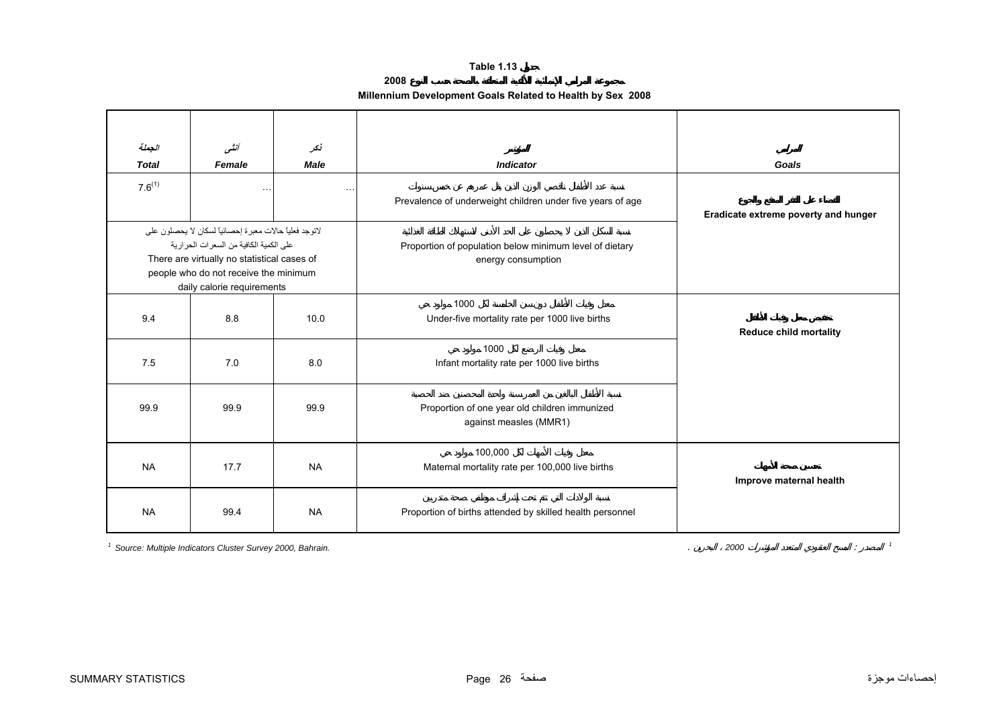**2008**

## **Millennium Development Goals Related to Health by Sex 2008**

<span id="page-25-0"></span>

| الجملة       | أنشى                                                                                                                                                                                                                     | نكر                                               |                                                                               |                                      |
|--------------|--------------------------------------------------------------------------------------------------------------------------------------------------------------------------------------------------------------------------|---------------------------------------------------|-------------------------------------------------------------------------------|--------------------------------------|
| <b>Total</b> | Female                                                                                                                                                                                                                   | <b>Male</b>                                       | <b>Indicator</b>                                                              | Goals                                |
| $7.6^{(1)}$  | $\ddot{\phantom{1}}$ .                                                                                                                                                                                                   |                                                   | Prevalence of underweight children under five years of age                    | Eradicate extreme poverty and hunger |
|              | لاتوجد فعلياً حالات معبرة إحصائياً لسكان لا يحصلون على<br>على الكمية الكافية من السعر ات الحر ارية<br>There are virtually no statistical cases of<br>people who do not receive the minimum<br>daily calorie requirements |                                                   | Proportion of population below minimum level of dietary<br>energy consumption |                                      |
| 9.4          | 8.8                                                                                                                                                                                                                      | 10.0                                              | 1000<br>Under-five mortality rate per 1000 live births                        | <b>Reduce child mortality</b>        |
| 7.5          | 7.0                                                                                                                                                                                                                      | 8.0                                               | 1000<br>Infant mortality rate per 1000 live births                            |                                      |
| 99.9         | 99.9                                                                                                                                                                                                                     | 99.9                                              | Proportion of one year old children immunized<br>against measles (MMR1)       |                                      |
| <b>NA</b>    | 17.7                                                                                                                                                                                                                     | <b>NA</b>                                         | 100,000<br>Maternal mortality rate per 100,000 live births                    | Improve maternal health              |
| <b>NA</b>    | 99.4                                                                                                                                                                                                                     | <b>NA</b>                                         | Proportion of births attended by skilled health personnel                     |                                      |
|              | <sup>1</sup> Source: Multiple Indicators Cluster Survey 2000, Bahrain.                                                                                                                                                   | $\mathcal{I}$<br>2000<br>$\mathcal{I}$<br>$\cdot$ |                                                                               |                                      |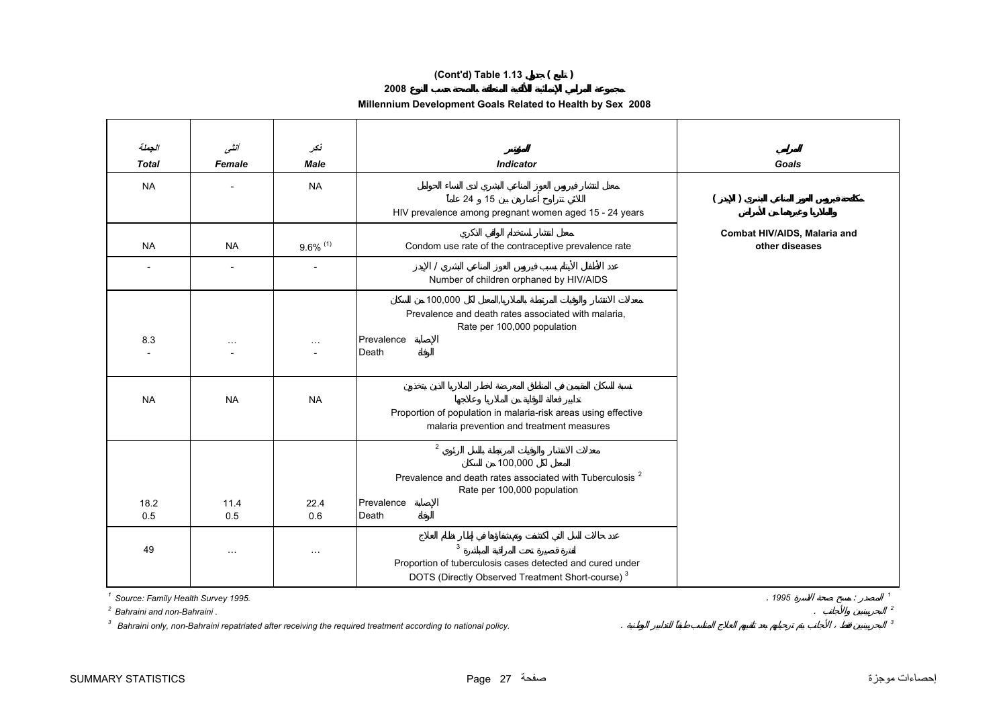## **(Cont'd) Table 1.13 ( )**

### **2008**

## **Millennium Development Goals Related to Health by Sex 2008**

| الجملة<br><b>Total</b> | أنشى<br>Female                     | نكر<br><b>Male</b>     | <b>Indicator</b>                                                                                            | Goals                                          |
|------------------------|------------------------------------|------------------------|-------------------------------------------------------------------------------------------------------------|------------------------------------------------|
|                        |                                    |                        |                                                                                                             |                                                |
| <b>NA</b>              |                                    | <b>NA</b>              |                                                                                                             |                                                |
|                        |                                    |                        | 24 15<br>HIV prevalence among pregnant women aged 15 - 24 years                                             | $\lambda$                                      |
|                        |                                    |                        |                                                                                                             |                                                |
| <b>NA</b>              | <b>NA</b>                          | $9.6\%$ <sup>(1)</sup> | Condom use rate of the contraceptive prevalence rate                                                        | Combat HIV/AIDS, Malaria and<br>other diseases |
|                        |                                    |                        |                                                                                                             |                                                |
|                        |                                    |                        | Number of children orphaned by HIV/AIDS                                                                     |                                                |
|                        |                                    |                        | 100,000                                                                                                     |                                                |
|                        |                                    |                        | Prevalence and death rates associated with malaria,                                                         |                                                |
| 8.3                    |                                    |                        | Rate per 100,000 population<br>Prevalence                                                                   |                                                |
|                        | $\sim$ $\sim$                      | $\ldots$               | Death                                                                                                       |                                                |
|                        |                                    |                        |                                                                                                             |                                                |
|                        |                                    |                        |                                                                                                             |                                                |
| <b>NA</b>              | <b>NA</b>                          | <b>NA</b>              |                                                                                                             |                                                |
|                        |                                    |                        | Proportion of population in malaria-risk areas using effective<br>malaria prevention and treatment measures |                                                |
|                        |                                    |                        | $\overline{2}$                                                                                              |                                                |
|                        |                                    |                        | 100,000                                                                                                     |                                                |
|                        |                                    |                        | Prevalence and death rates associated with Tuberculosis <sup>2</sup>                                        |                                                |
|                        |                                    |                        | Rate per 100,000 population                                                                                 |                                                |
| 18.2                   | 11.4                               | 22.4                   | Prevalence                                                                                                  |                                                |
| 0.5                    | 0.5                                | 0.6                    | Death                                                                                                       |                                                |
| 49                     |                                    |                        | $\mathbf{3}$                                                                                                |                                                |
|                        | $\sim$ $\sim$ $\sim$               | $\sim$ $\sim$ $\sim$   | Proportion of tuberculosis cases detected and cured under                                                   |                                                |
|                        |                                    |                        | DOTS (Directly Observed Treatment Short-course) <sup>3</sup>                                                |                                                |
|                        | Source: Family Health Survey 1995. |                        |                                                                                                             | . 1995<br>$\mathcal{L}$                        |

*3 Bahraini only, non-Bahraini repatriated after receiving the required treatment according to national policy.* . *<sup>3</sup>*